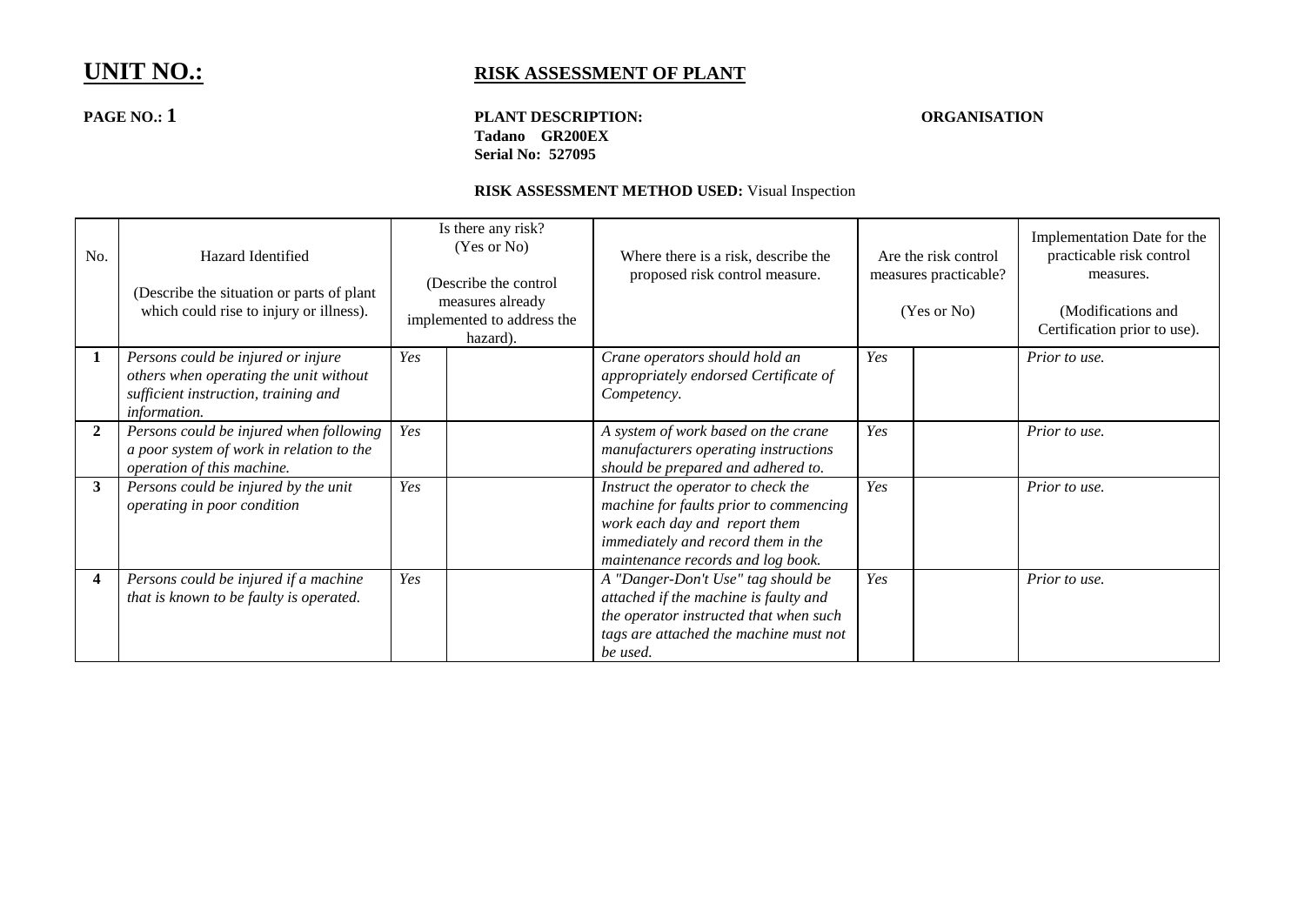## **PAGE NO.: 1 PLANT DESCRIPTION: ORGANISATION Tadano GR200EX Serial No: 527095**

| No.          | Hazard Identified<br>(Describe the situation or parts of plant)<br>which could rise to injury or illness).                           | Is there any risk?<br>(Yes or No)<br>(Describe the control<br>measures already<br>implemented to address the<br>hazard). | Where there is a risk, describe the<br>proposed risk control measure.                                                                                                                    | Are the risk control<br>measures practicable?<br>(Yes or No) | Implementation Date for the<br>practicable risk control<br>measures.<br>(Modifications and<br>Certification prior to use). |
|--------------|--------------------------------------------------------------------------------------------------------------------------------------|--------------------------------------------------------------------------------------------------------------------------|------------------------------------------------------------------------------------------------------------------------------------------------------------------------------------------|--------------------------------------------------------------|----------------------------------------------------------------------------------------------------------------------------|
|              | Persons could be injured or injure<br>others when operating the unit without<br>sufficient instruction, training and<br>information. | Yes                                                                                                                      | Crane operators should hold an<br>appropriately endorsed Certificate of<br>Competency.                                                                                                   | Yes                                                          | Prior to use.                                                                                                              |
| $\mathbf{2}$ | Persons could be injured when following<br>a poor system of work in relation to the<br>operation of this machine.                    | Yes                                                                                                                      | A system of work based on the crane<br>manufacturers operating instructions<br>should be prepared and adhered to.                                                                        | Yes                                                          | Prior to use.                                                                                                              |
| 3            | Persons could be injured by the unit<br>operating in poor condition                                                                  | Yes                                                                                                                      | Instruct the operator to check the<br>machine for faults prior to commencing<br>work each day and report them<br>immediately and record them in the<br>maintenance records and log book. | Yes                                                          | Prior to use.                                                                                                              |
| 4            | Persons could be injured if a machine<br>that is known to be faulty is operated.                                                     | Yes                                                                                                                      | A "Danger-Don't Use" tag should be<br>attached if the machine is faulty and<br>the operator instructed that when such<br>tags are attached the machine must not<br>be used.              | Yes                                                          | Prior to use.                                                                                                              |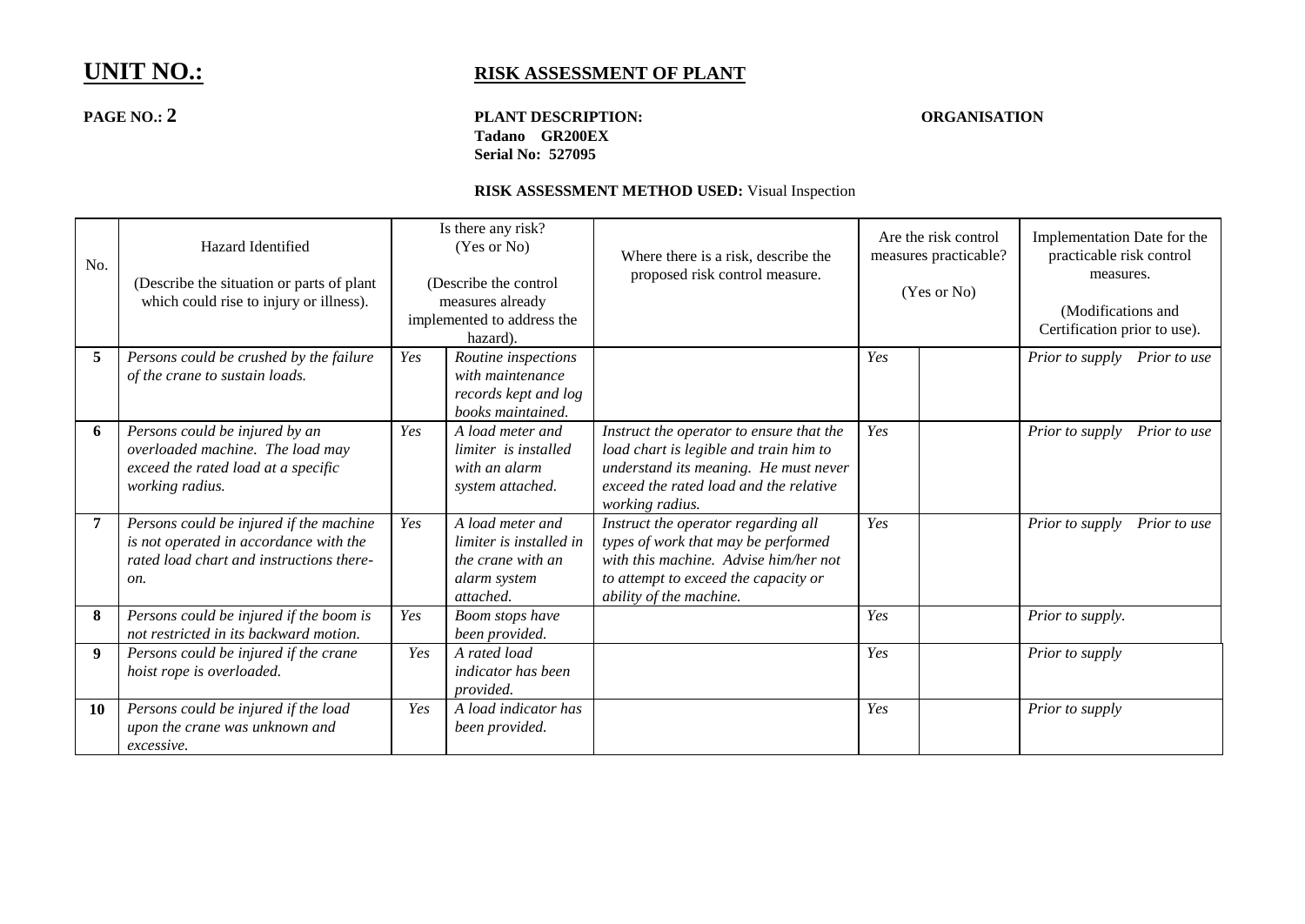## **PAGE NO.: 2 PLANT DESCRIPTION: ORGANISATION Tadano GR200EX Serial No: 527095**

| No.            | Hazard Identified<br>(Describe the situation or parts of plant)<br>which could rise to injury or illness).                           |     | Is there any risk?<br>(Yes or No)<br>(Describe the control)<br>measures already<br>implemented to address the<br>hazard). | Where there is a risk, describe the<br>proposed risk control measure.                                                                                                                    | Are the risk control<br>measures practicable?<br>(Yes or No) |  | Implementation Date for the<br>practicable risk control<br>measures.<br>(Modifications and<br>Certification prior to use). |
|----------------|--------------------------------------------------------------------------------------------------------------------------------------|-----|---------------------------------------------------------------------------------------------------------------------------|------------------------------------------------------------------------------------------------------------------------------------------------------------------------------------------|--------------------------------------------------------------|--|----------------------------------------------------------------------------------------------------------------------------|
| 5              | Persons could be crushed by the failure<br>of the crane to sustain loads.                                                            | Yes | Routine inspections<br>with maintenance<br>records kept and log<br>books maintained.                                      |                                                                                                                                                                                          | Yes                                                          |  | Prior to supply Prior to use                                                                                               |
| 6              | Persons could be injured by an<br>overloaded machine. The load may<br>exceed the rated load at a specific<br>working radius.         | Yes | A load meter and<br>limiter is installed<br>with an alarm<br>system attached.                                             | Instruct the operator to ensure that the<br>load chart is legible and train him to<br>understand its meaning. He must never<br>exceed the rated load and the relative<br>working radius. | Yes                                                          |  | Prior to supply<br>Prior to use                                                                                            |
| $\overline{7}$ | Persons could be injured if the machine<br>is not operated in accordance with the<br>rated load chart and instructions there-<br>on. | Yes | A load meter and<br>limiter is installed in<br>the crane with an<br>alarm system<br>attached.                             | Instruct the operator regarding all<br>types of work that may be performed<br>with this machine. Advise him/her not<br>to attempt to exceed the capacity or<br>ability of the machine.   | Yes                                                          |  | Prior to supply<br>Prior to use                                                                                            |
| 8              | Persons could be injured if the boom is<br>not restricted in its backward motion.                                                    | Yes | Boom stops have<br>been provided.                                                                                         |                                                                                                                                                                                          | Yes                                                          |  | Prior to supply.                                                                                                           |
| 9              | Persons could be injured if the crane<br>hoist rope is overloaded.                                                                   | Yes | A rated load<br>indicator has been<br>provided.                                                                           |                                                                                                                                                                                          | Yes                                                          |  | Prior to supply                                                                                                            |
| <b>10</b>      | Persons could be injured if the load<br>upon the crane was unknown and<br>excessive.                                                 | Yes | A load indicator has<br>been provided.                                                                                    |                                                                                                                                                                                          | Yes                                                          |  | Prior to supply                                                                                                            |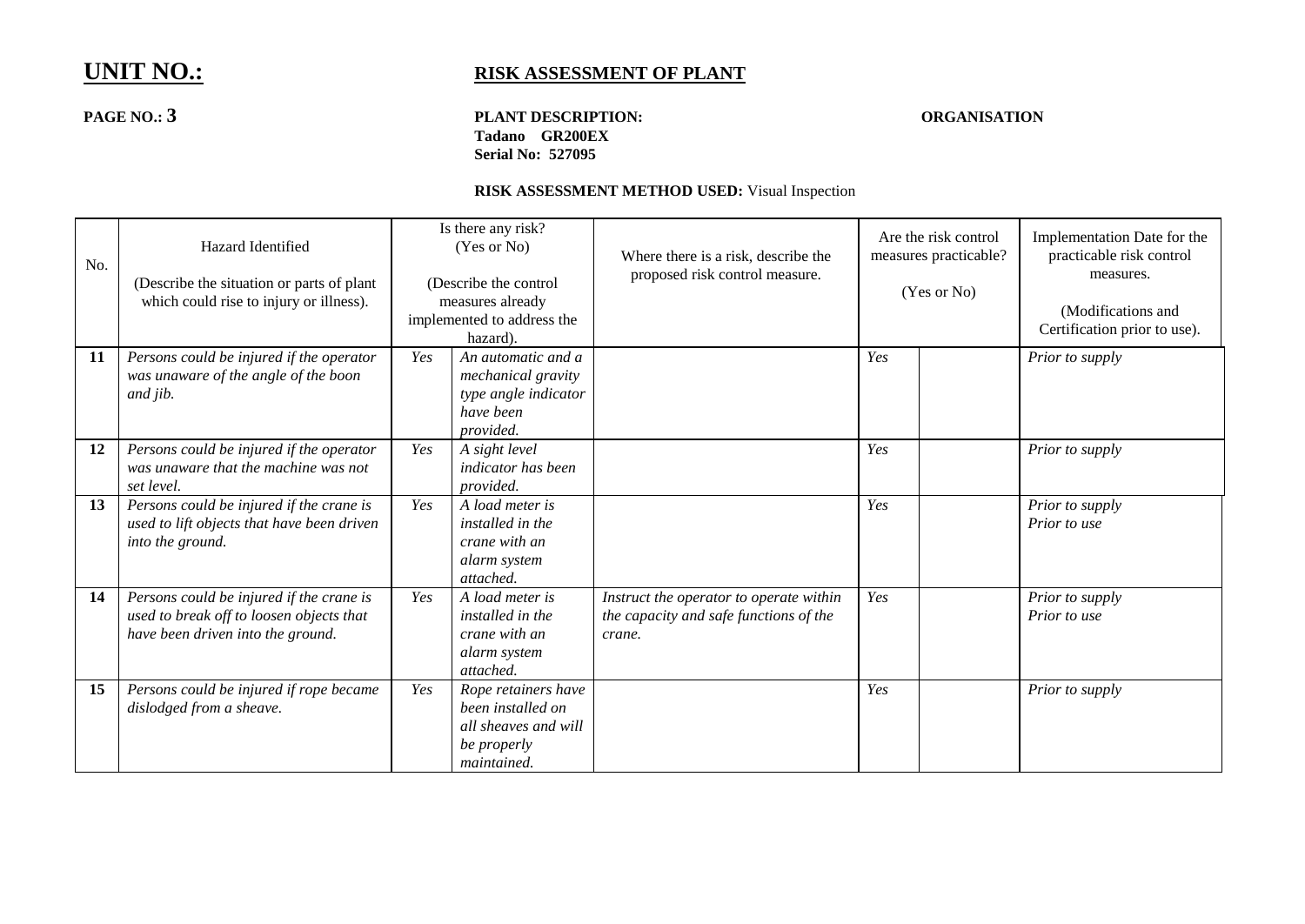## **PAGE NO.: 3 PLANT DESCRIPTION: ORGANISATION Tadano GR200EX Serial No: 527095**

| No. | Hazard Identified<br>(Describe the situation or parts of plant<br>which could rise to injury or illness).                 |     | Is there any risk?<br>(Yes or No)<br>(Describe the control<br>measures already<br>implemented to address the<br>hazard). | Where there is a risk, describe the<br>proposed risk control measure.                       |     | Are the risk control<br>measures practicable?<br>(Yes or No) | Implementation Date for the<br>practicable risk control<br>measures.<br>(Modifications and<br>Certification prior to use). |
|-----|---------------------------------------------------------------------------------------------------------------------------|-----|--------------------------------------------------------------------------------------------------------------------------|---------------------------------------------------------------------------------------------|-----|--------------------------------------------------------------|----------------------------------------------------------------------------------------------------------------------------|
| 11  | Persons could be injured if the operator<br>was unaware of the angle of the boon<br>and jib.                              | Yes | An automatic and a<br>mechanical gravity<br>type angle indicator<br>have been<br>provided.                               |                                                                                             | Yes |                                                              | Prior to supply                                                                                                            |
| 12  | Persons could be injured if the operator<br>was unaware that the machine was not<br>set level.                            | Yes | A sight level<br>indicator has been<br>provided.                                                                         |                                                                                             | Yes |                                                              | Prior to supply                                                                                                            |
| 13  | Persons could be injured if the crane is<br>used to lift objects that have been driven<br>into the ground.                | Yes | A load meter is<br>installed in the<br>crane with an<br>alarm system<br>attached.                                        |                                                                                             | Yes |                                                              | Prior to supply<br>Prior to use                                                                                            |
| 14  | Persons could be injured if the crane is<br>used to break off to loosen objects that<br>have been driven into the ground. | Yes | A load meter is<br>installed in the<br>crane with an<br>alarm system<br>attached.                                        | Instruct the operator to operate within<br>the capacity and safe functions of the<br>crane. | Yes |                                                              | Prior to supply<br>Prior to use                                                                                            |
| 15  | Persons could be injured if rope became<br>dislodged from a sheave.                                                       | Yes | Rope retainers have<br>been installed on<br>all sheaves and will<br>be properly<br>maintained.                           |                                                                                             | Yes |                                                              | Prior to supply                                                                                                            |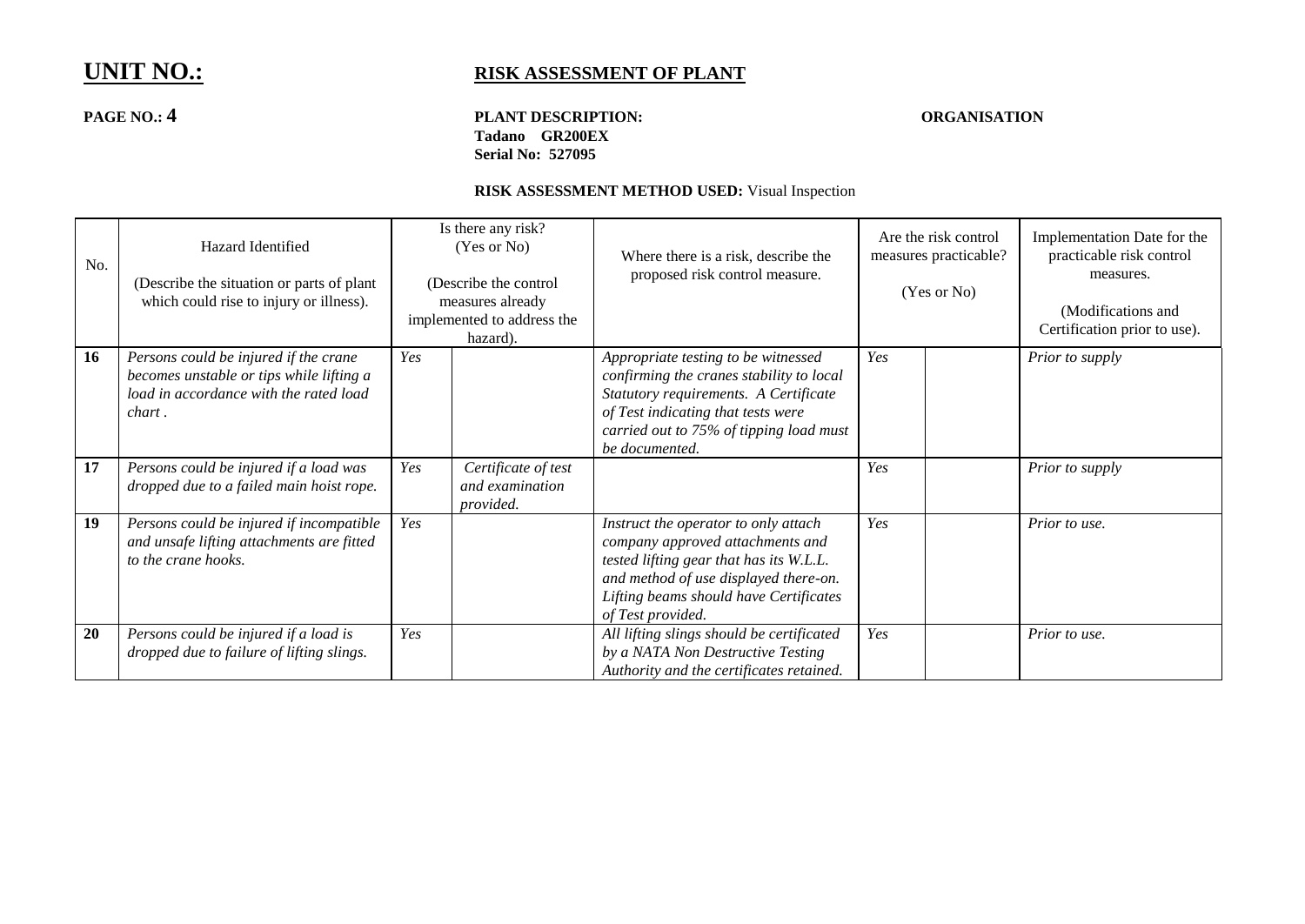## **PAGE NO.: 4 PLANT DESCRIPTION: ORGANISATION Tadano GR200EX Serial No: 527095**

| No. | Hazard Identified<br>(Describe the situation or parts of plant<br>which could rise to injury or illness).                             |     | Is there any risk?<br>(Yes or No)<br>(Describe the control<br>measures already<br>implemented to address the<br>hazard). | Where there is a risk, describe the<br>proposed risk control measure.                                                                                                                                                       | Are the risk control<br>measures practicable?<br>(Yes or No) |  | Implementation Date for the<br>practicable risk control<br>measures.<br>(Modifications and<br>Certification prior to use). |
|-----|---------------------------------------------------------------------------------------------------------------------------------------|-----|--------------------------------------------------------------------------------------------------------------------------|-----------------------------------------------------------------------------------------------------------------------------------------------------------------------------------------------------------------------------|--------------------------------------------------------------|--|----------------------------------------------------------------------------------------------------------------------------|
| 16  | Persons could be injured if the crane<br>becomes unstable or tips while lifting a<br>load in accordance with the rated load<br>chart. | Yes |                                                                                                                          | Appropriate testing to be witnessed<br>confirming the cranes stability to local<br>Statutory requirements. A Certificate<br>of Test indicating that tests were<br>carried out to 75% of tipping load must<br>be documented. | Yes                                                          |  | Prior to supply                                                                                                            |
| 17  | Persons could be injured if a load was<br>dropped due to a failed main hoist rope.                                                    | Yes | Certificate of test<br>and examination<br>provided.                                                                      |                                                                                                                                                                                                                             | Yes                                                          |  | Prior to supply                                                                                                            |
| 19  | Persons could be injured if incompatible<br>and unsafe lifting attachments are fitted<br>to the crane hooks.                          | Yes |                                                                                                                          | Instruct the operator to only attach<br>company approved attachments and<br>tested lifting gear that has its W.L.L.<br>and method of use displayed there-on.<br>Lifting beams should have Certificates<br>of Test provided. | Yes                                                          |  | Prior to use.                                                                                                              |
| 20  | Persons could be injured if a load is<br>dropped due to failure of lifting slings.                                                    | Yes |                                                                                                                          | All lifting slings should be certificated<br>by a NATA Non Destructive Testing<br>Authority and the certificates retained.                                                                                                  | Yes                                                          |  | Prior to use.                                                                                                              |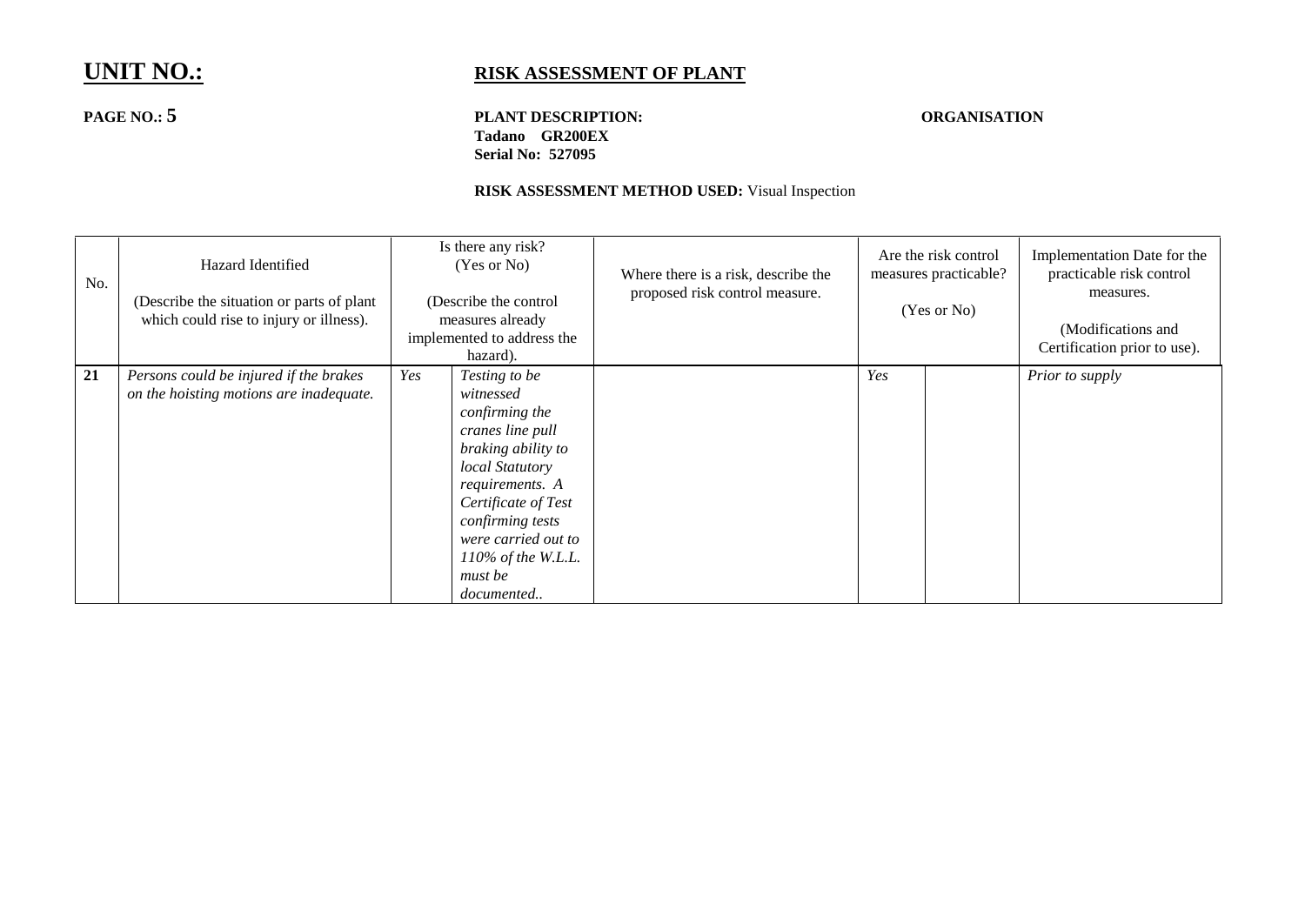**PAGE NO.: 5 PLANT DESCRIPTION: ORGANISATION Tadano GR200EX Serial No: 527095**

| No. | Hazard Identified<br>(Describe the situation or parts of plant)<br>which could rise to injury or illness). |     | Is there any risk?<br>(Yes or No)<br>(Describe the control<br>measures already<br>implemented to address the<br>hazard).                                                                                                                         | Where there is a risk, describe the<br>proposed risk control measure. | Are the risk control<br>measures practicable?<br>(Yes or No) |  | Implementation Date for the<br>practicable risk control<br>measures.<br>(Modifications and<br>Certification prior to use). |
|-----|------------------------------------------------------------------------------------------------------------|-----|--------------------------------------------------------------------------------------------------------------------------------------------------------------------------------------------------------------------------------------------------|-----------------------------------------------------------------------|--------------------------------------------------------------|--|----------------------------------------------------------------------------------------------------------------------------|
| 21  | Persons could be injured if the brakes<br>on the hoisting motions are inadequate.                          | Yes | Testing to be<br>witnessed<br>confirming the<br>cranes line pull<br>braking ability to<br>local Statutory<br>requirements. A<br>Certificate of Test<br>confirming tests<br>were carried out to<br>$110\%$ of the W.L.L.<br>must be<br>documented |                                                                       | Yes                                                          |  | Prior to supply                                                                                                            |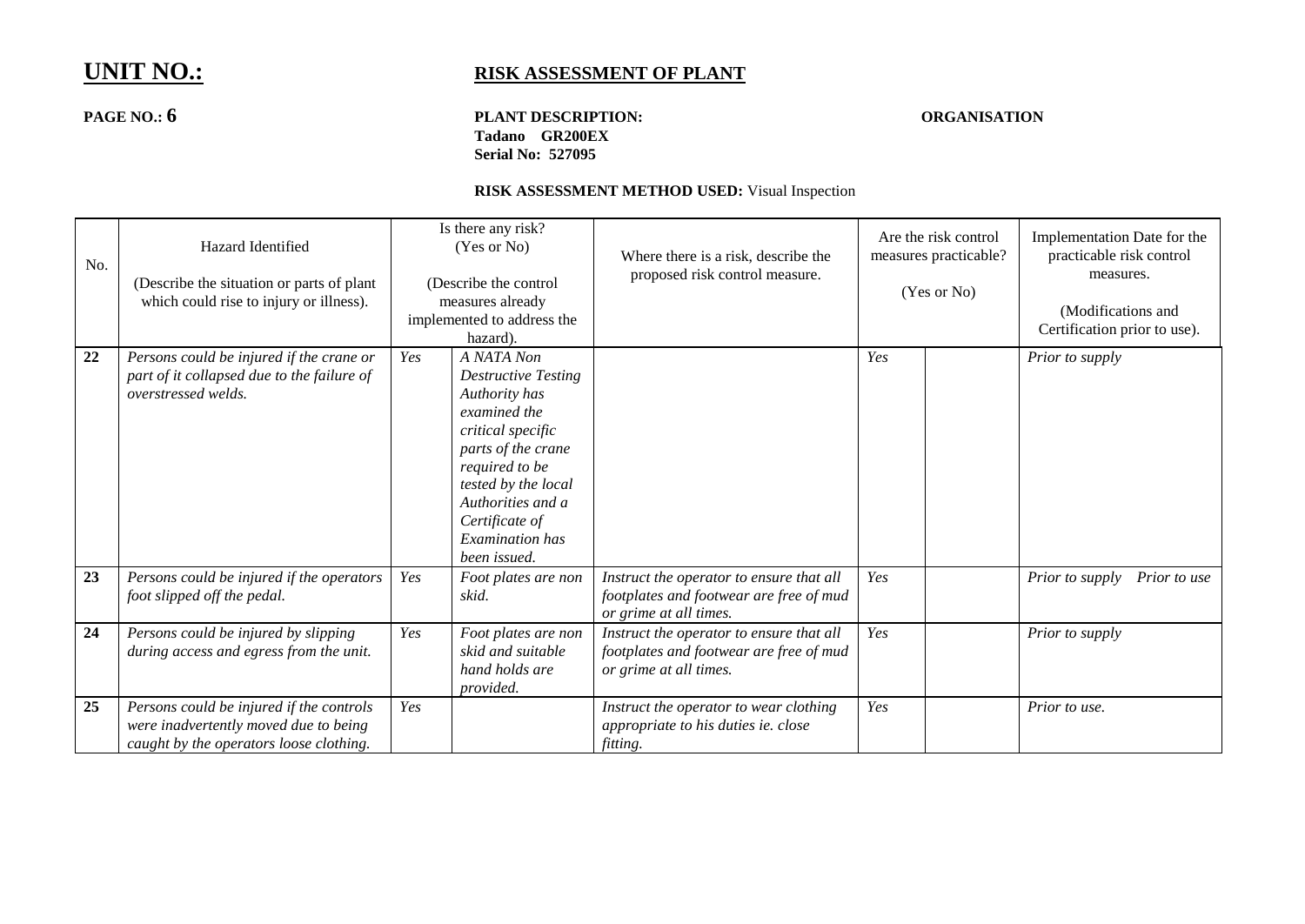## **PAGE NO.: 6 PLANT DESCRIPTION: ORGANISATION Tadano GR200EX Serial No: 527095**

| No. | Hazard Identified<br>(Describe the situation or parts of plant<br>which could rise to injury or illness).                    |     | Is there any risk?<br>(Yes or No)<br>(Describe the control<br>measures already<br>implemented to address the<br>hazard).                                                                                                                | Where there is a risk, describe the<br>proposed risk control measure.                                         | Are the risk control<br>measures practicable?<br>(Yes or No) |  | Implementation Date for the<br>practicable risk control<br>measures.<br>(Modifications and<br>Certification prior to use). |
|-----|------------------------------------------------------------------------------------------------------------------------------|-----|-----------------------------------------------------------------------------------------------------------------------------------------------------------------------------------------------------------------------------------------|---------------------------------------------------------------------------------------------------------------|--------------------------------------------------------------|--|----------------------------------------------------------------------------------------------------------------------------|
| 22  | Persons could be injured if the crane or<br>part of it collapsed due to the failure of<br>overstressed welds.                | Yes | A NATA Non<br><b>Destructive Testing</b><br>Authority has<br>examined the<br>critical specific<br>parts of the crane<br>required to be<br>tested by the local<br>Authorities and a<br>Certificate of<br>Examination has<br>been issued. |                                                                                                               | Yes                                                          |  | Prior to supply                                                                                                            |
| 23  | Persons could be injured if the operators<br>foot slipped off the pedal.                                                     | Yes | Foot plates are non<br>skid.                                                                                                                                                                                                            | Instruct the operator to ensure that all<br>footplates and footwear are free of mud<br>or grime at all times. | Yes                                                          |  | Prior to supply<br>Prior to use                                                                                            |
| 24  | Persons could be injured by slipping<br>during access and egress from the unit.                                              | Yes | Foot plates are non<br>skid and suitable<br>hand holds are<br>provided.                                                                                                                                                                 | Instruct the operator to ensure that all<br>footplates and footwear are free of mud<br>or grime at all times. | Yes                                                          |  | Prior to supply                                                                                                            |
| 25  | Persons could be injured if the controls<br>were inadvertently moved due to being<br>caught by the operators loose clothing. | Yes |                                                                                                                                                                                                                                         | Instruct the operator to wear clothing<br>appropriate to his duties ie. close<br>fitting.                     | Yes                                                          |  | Prior to use.                                                                                                              |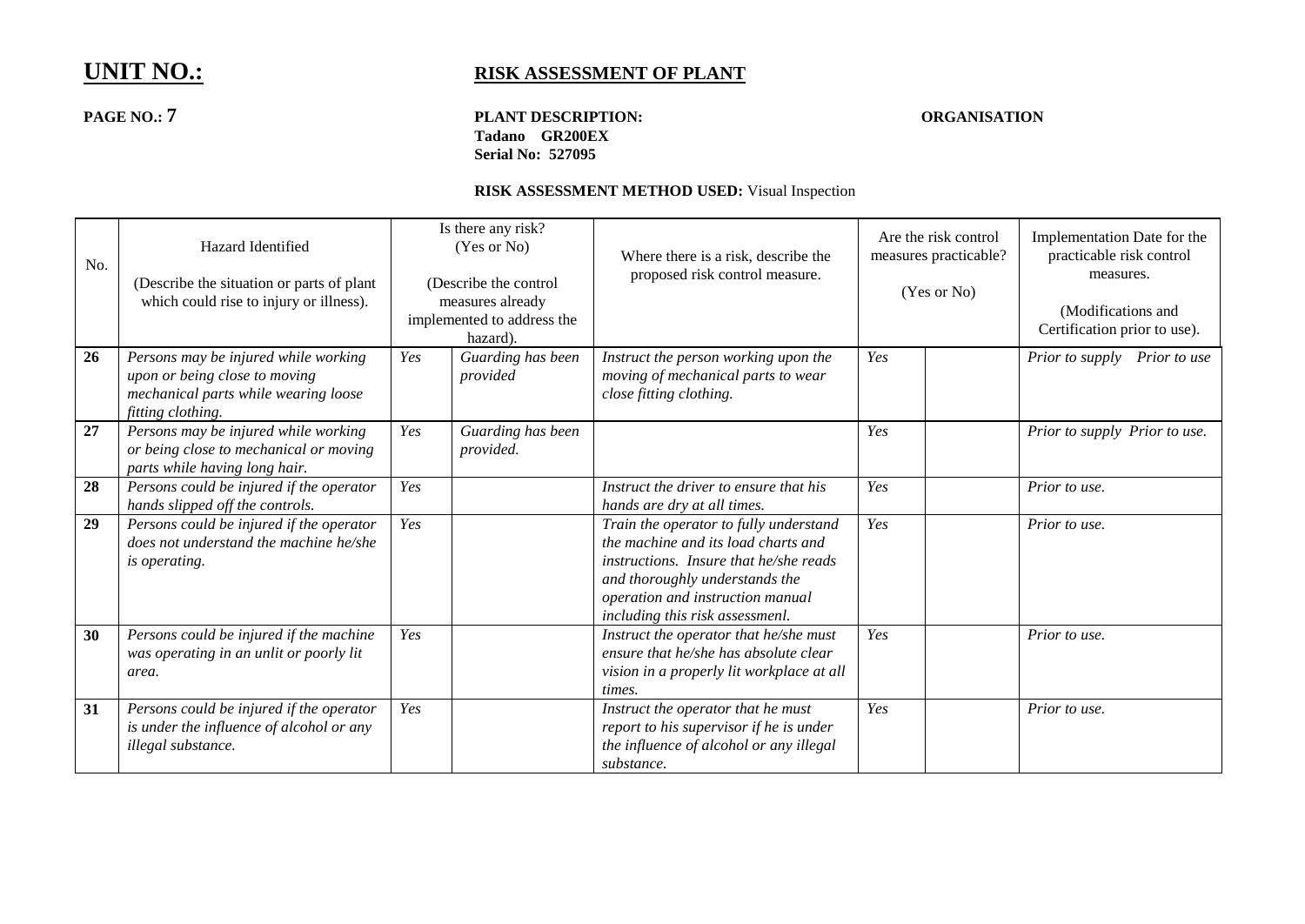## **PAGE NO.: 7 PLANT DESCRIPTION: ORGANISATION Tadano GR200EX Serial No: 527095**

| No. | Hazard Identified<br>(Describe the situation or parts of plant<br>which could rise to injury or illness).                          |     | Is there any risk?<br>(Yes or No)<br>(Describe the control<br>measures already<br>implemented to address the<br>hazard). | Where there is a risk, describe the<br>proposed risk control measure.                                                                                                                                                            | Are the risk control<br>measures practicable?<br>(Yes or No) |  | Implementation Date for the<br>practicable risk control<br>measures.<br>(Modifications and<br>Certification prior to use). |
|-----|------------------------------------------------------------------------------------------------------------------------------------|-----|--------------------------------------------------------------------------------------------------------------------------|----------------------------------------------------------------------------------------------------------------------------------------------------------------------------------------------------------------------------------|--------------------------------------------------------------|--|----------------------------------------------------------------------------------------------------------------------------|
| 26  | Persons may be injured while working<br>upon or being close to moving<br>mechanical parts while wearing loose<br>fitting clothing. | Yes | Guarding has been<br>provided                                                                                            | Instruct the person working upon the<br>moving of mechanical parts to wear<br>close fitting clothing.                                                                                                                            | Yes                                                          |  | Prior to supply Prior to use                                                                                               |
| 27  | Persons may be injured while working<br>or being close to mechanical or moving<br>parts while having long hair.                    | Yes | Guarding has been<br>provided.                                                                                           |                                                                                                                                                                                                                                  | Yes                                                          |  | Prior to supply Prior to use.                                                                                              |
| 28  | Persons could be injured if the operator<br>hands slipped off the controls.                                                        | Yes |                                                                                                                          | Instruct the driver to ensure that his<br>hands are dry at all times.                                                                                                                                                            | Yes                                                          |  | Prior to use.                                                                                                              |
| 29  | Persons could be injured if the operator<br>does not understand the machine he/she<br><i>is operating.</i>                         | Yes |                                                                                                                          | Train the operator to fully understand<br>the machine and its load charts and<br>instructions. Insure that he/she reads<br>and thoroughly understands the<br>operation and instruction manual<br>including this risk assessmenl. | Yes                                                          |  | Prior to use.                                                                                                              |
| 30  | Persons could be injured if the machine<br>was operating in an unlit or poorly lit<br>area.                                        | Yes |                                                                                                                          | Instruct the operator that he/she must<br>ensure that he/she has absolute clear<br>vision in a properly lit workplace at all<br>times.                                                                                           | Yes                                                          |  | Prior to use.                                                                                                              |
| 31  | Persons could be injured if the operator<br>is under the influence of alcohol or any<br>illegal substance.                         | Yes |                                                                                                                          | Instruct the operator that he must<br>report to his supervisor if he is under<br>the influence of alcohol or any illegal<br>substance.                                                                                           | Yes                                                          |  | Prior to use.                                                                                                              |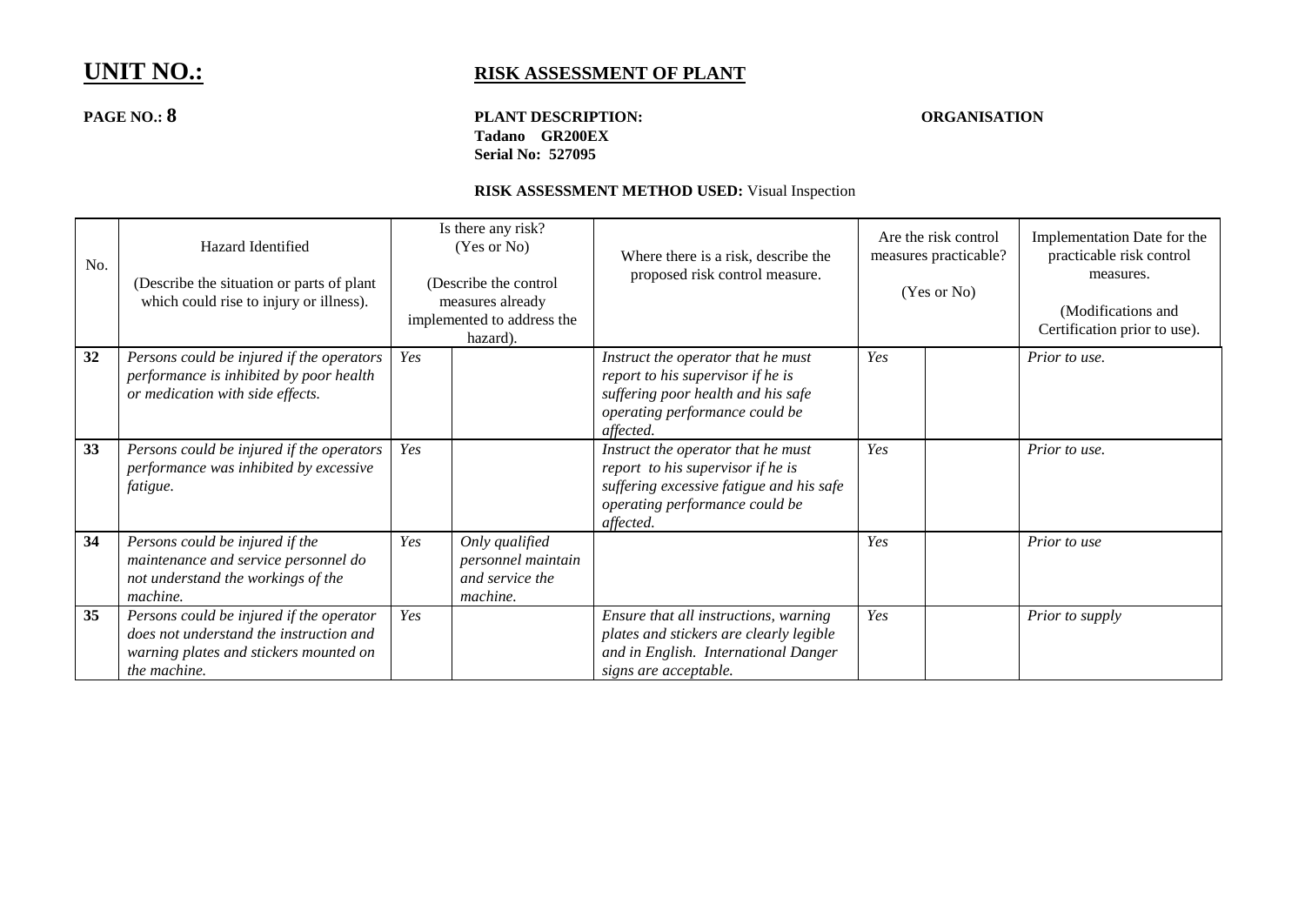## **PAGE NO.: 8 PLANT DESCRIPTION: ORGANISATION Tadano GR200EX Serial No: 527095**

| No. | Hazard Identified<br>(Describe the situation or parts of plant)<br>which could rise to injury or illness).                                    |     | Is there any risk?<br>(Yes or No)<br>(Describe the control<br>measures already<br>implemented to address the<br>hazard). | Where there is a risk, describe the<br>proposed risk control measure.                                                                                              |     | Are the risk control<br>measures practicable?<br>(Yes or No) | Implementation Date for the<br>practicable risk control<br>measures.<br>(Modifications and<br>Certification prior to use). |
|-----|-----------------------------------------------------------------------------------------------------------------------------------------------|-----|--------------------------------------------------------------------------------------------------------------------------|--------------------------------------------------------------------------------------------------------------------------------------------------------------------|-----|--------------------------------------------------------------|----------------------------------------------------------------------------------------------------------------------------|
| 32  | Persons could be injured if the operators<br>performance is inhibited by poor health<br>or medication with side effects.                      | Yes |                                                                                                                          | Instruct the operator that he must<br>report to his supervisor if he is<br>suffering poor health and his safe<br>operating performance could be<br>affected.       | Yes |                                                              | Prior to use.                                                                                                              |
| 33  | Persons could be injured if the operators<br>performance was inhibited by excessive<br>fatigue.                                               | Yes |                                                                                                                          | Instruct the operator that he must<br>report to his supervisor if he is<br>suffering excessive fatigue and his safe<br>operating performance could be<br>affected. | Yes |                                                              | Prior to use.                                                                                                              |
| 34  | Persons could be injured if the<br>maintenance and service personnel do<br>not understand the workings of the<br>machine.                     | Yes | Only qualified<br>personnel maintain<br>and service the<br>machine.                                                      |                                                                                                                                                                    | Yes |                                                              | Prior to use                                                                                                               |
| 35  | Persons could be injured if the operator<br>does not understand the instruction and<br>warning plates and stickers mounted on<br>the machine. | Yes |                                                                                                                          | Ensure that all instructions, warning<br>plates and stickers are clearly legible<br>and in English. International Danger<br>signs are acceptable.                  | Yes |                                                              | Prior to supply                                                                                                            |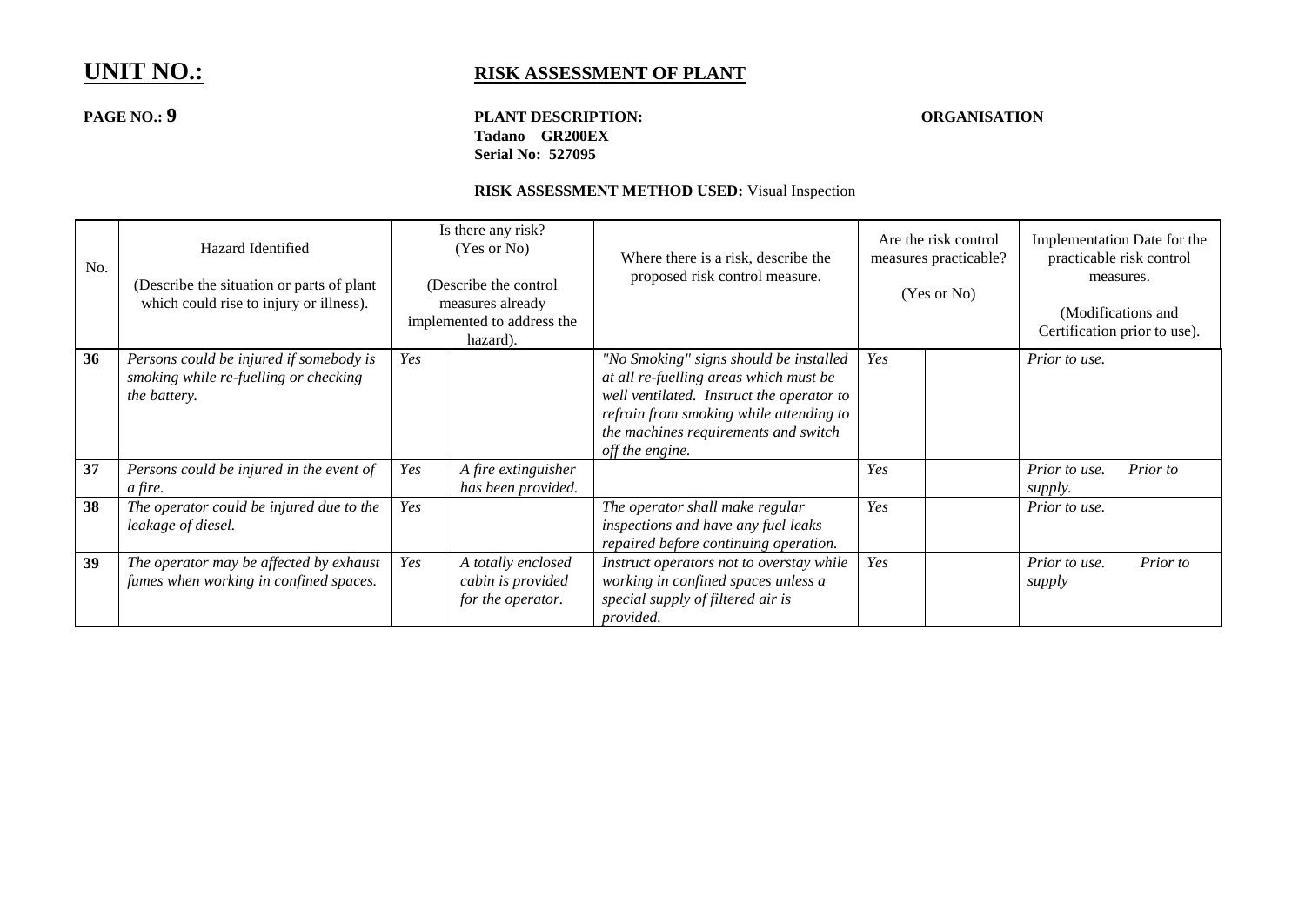## **PAGE NO.: 9 PLANT DESCRIPTION: ORGANISATION Tadano GR200EX Serial No: 527095**

| No. | Hazard Identified<br>(Describe the situation or parts of plant)<br>which could rise to injury or illness). |     | Is there any risk?<br>(Yes or No)<br>(Describe the control<br>measures already<br>implemented to address the<br>hazard). | Where there is a risk, describe the<br>proposed risk control measure.                                                                                                                                                               | Are the risk control<br>measures practicable?<br>(Yes or No) |  | Implementation Date for the<br>practicable risk control<br>measures.<br>(Modifications and<br>Certification prior to use). |          |
|-----|------------------------------------------------------------------------------------------------------------|-----|--------------------------------------------------------------------------------------------------------------------------|-------------------------------------------------------------------------------------------------------------------------------------------------------------------------------------------------------------------------------------|--------------------------------------------------------------|--|----------------------------------------------------------------------------------------------------------------------------|----------|
| 36  | Persons could be injured if somebody is<br>smoking while re-fuelling or checking<br>the battery.           | Yes |                                                                                                                          | "No Smoking" signs should be installed<br>at all re-fuelling areas which must be<br>well ventilated. Instruct the operator to<br>refrain from smoking while attending to<br>the machines requirements and switch<br>off the engine. | Yes                                                          |  | Prior to use.                                                                                                              |          |
| 37  | Persons could be injured in the event of<br>a fire.                                                        | Yes | A fire extinguisher<br>has been provided.                                                                                |                                                                                                                                                                                                                                     | Yes                                                          |  | Prior to use.<br>supply.                                                                                                   | Prior to |
| 38  | The operator could be injured due to the<br>leakage of diesel.                                             | Yes |                                                                                                                          | The operator shall make regular<br>inspections and have any fuel leaks<br>repaired before continuing operation.                                                                                                                     | Yes                                                          |  | Prior to use.                                                                                                              |          |
| 39  | The operator may be affected by exhaust<br>fumes when working in confined spaces.                          | Yes | A totally enclosed<br>cabin is provided<br>for the operator.                                                             | Instruct operators not to overstay while<br>working in confined spaces unless a<br>special supply of filtered air is<br>provided.                                                                                                   | Yes                                                          |  | Prior to use.<br>supply                                                                                                    | Prior to |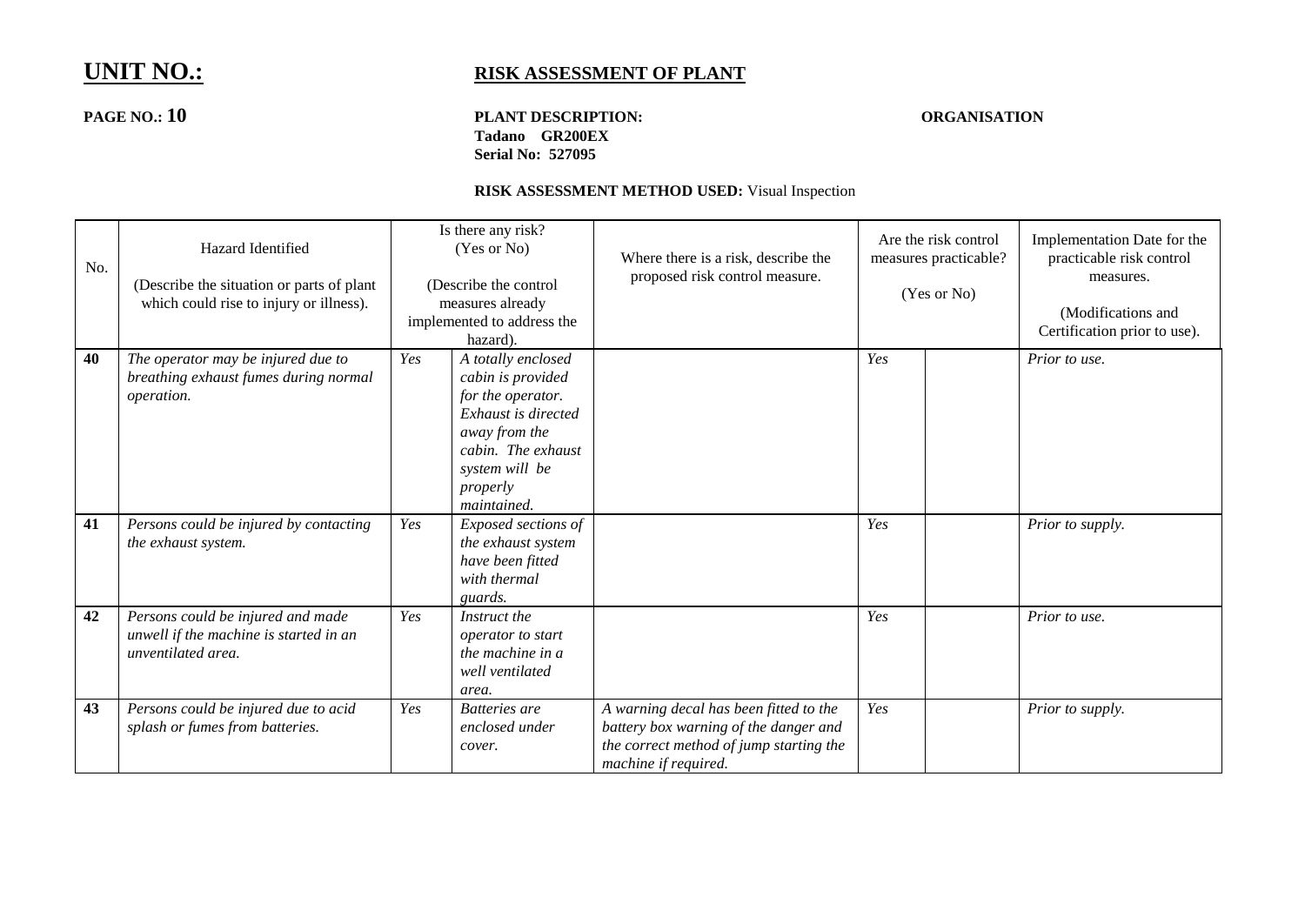## **PAGE NO.: 10 PLANT DESCRIPTION: ORGANISATION Tadano GR200EX Serial No: 527095**

| No. | Hazard Identified<br>(Describe the situation or parts of plant<br>which could rise to injury or illness). |     | Is there any risk?<br>(Yes or No)<br>(Describe the control<br>measures already<br>implemented to address the<br>hazard).                                                | Where there is a risk, describe the<br>proposed risk control measure.                                                                              | Are the risk control<br>measures practicable?<br>(Yes or No) |  | Implementation Date for the<br>practicable risk control<br>measures.<br>(Modifications and<br>Certification prior to use). |
|-----|-----------------------------------------------------------------------------------------------------------|-----|-------------------------------------------------------------------------------------------------------------------------------------------------------------------------|----------------------------------------------------------------------------------------------------------------------------------------------------|--------------------------------------------------------------|--|----------------------------------------------------------------------------------------------------------------------------|
| 40  | The operator may be injured due to<br>breathing exhaust fumes during normal<br>operation.                 | Yes | A totally enclosed<br>cabin is provided<br>for the operator.<br>Exhaust is directed<br>away from the<br>cabin. The exhaust<br>system will be<br>properly<br>maintained. |                                                                                                                                                    | Yes                                                          |  | Prior to use.                                                                                                              |
| 41  | Persons could be injured by contacting<br>the exhaust system.                                             | Yes | Exposed sections of<br>the exhaust system<br>have been fitted<br>with thermal<br>guards.                                                                                |                                                                                                                                                    | Yes                                                          |  | Prior to supply.                                                                                                           |
| 42  | Persons could be injured and made<br>unwell if the machine is started in an<br>unventilated area.         | Yes | Instruct the<br>operator to start<br>the machine in a<br>well ventilated<br>area.                                                                                       |                                                                                                                                                    | Yes                                                          |  | Prior to use.                                                                                                              |
| 43  | Persons could be injured due to acid<br>splash or fumes from batteries.                                   | Yes | Batteries are<br>enclosed under<br>cover.                                                                                                                               | A warning decal has been fitted to the<br>battery box warning of the danger and<br>the correct method of jump starting the<br>machine if required. | Yes                                                          |  | Prior to supply.                                                                                                           |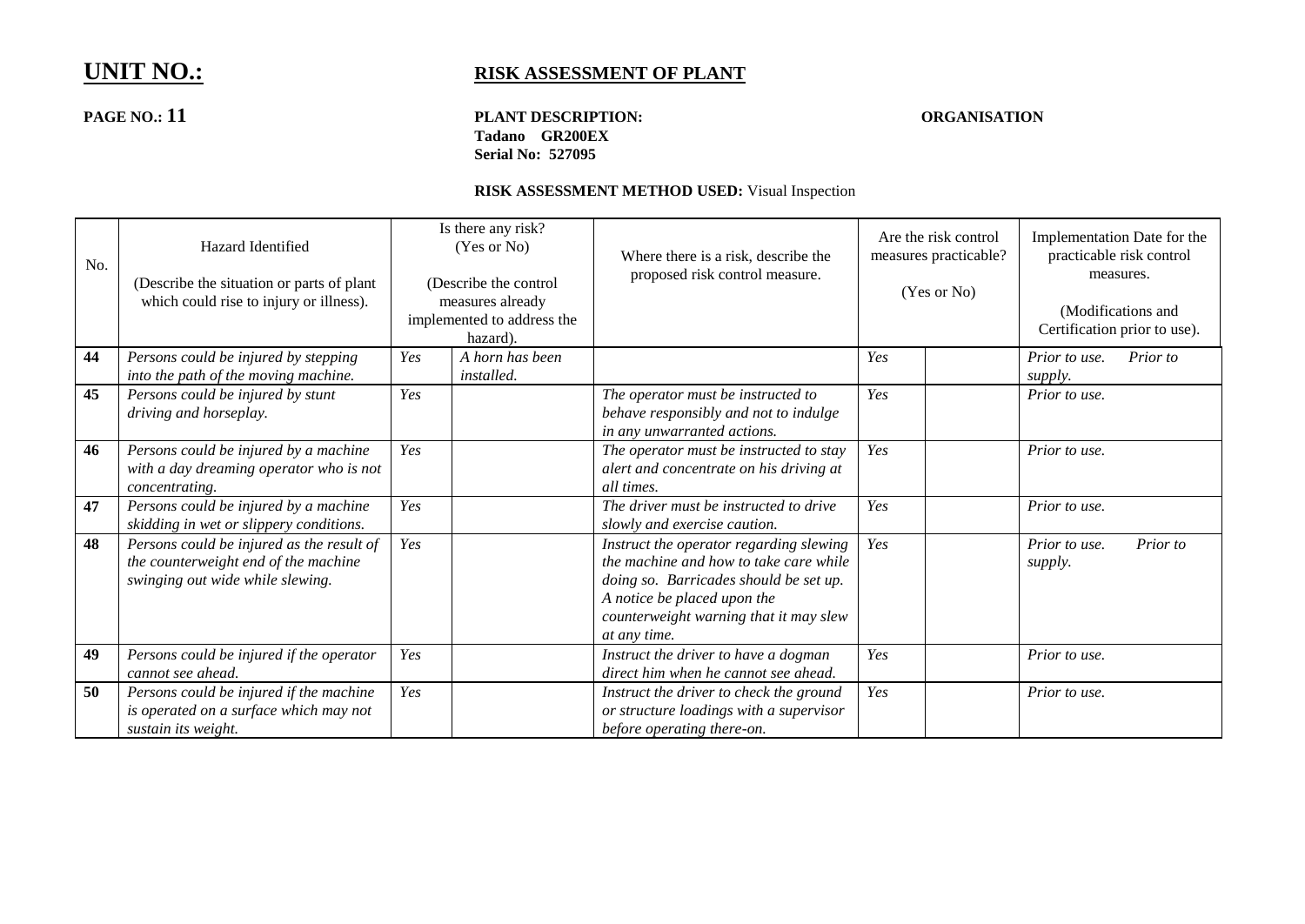## **PAGE NO.: 11 PLANT DESCRIPTION: ORGANISATION Tadano GR200EX Serial No: 527095**

| No. | Hazard Identified<br>(Describe the situation or parts of plant)<br>which could rise to injury or illness).            |     | Is there any risk?<br>(Yes or No)<br>(Describe the control<br>measures already<br>implemented to address the<br>hazard). | Where there is a risk, describe the<br>proposed risk control measure.                                                                                                                                                | Are the risk control<br>measures practicable?<br>(Yes or No) |  | Implementation Date for the<br>practicable risk control<br>measures.<br>(Modifications and<br>Certification prior to use). |          |
|-----|-----------------------------------------------------------------------------------------------------------------------|-----|--------------------------------------------------------------------------------------------------------------------------|----------------------------------------------------------------------------------------------------------------------------------------------------------------------------------------------------------------------|--------------------------------------------------------------|--|----------------------------------------------------------------------------------------------------------------------------|----------|
| 44  | Persons could be injured by stepping<br>into the path of the moving machine.                                          | Yes | A horn has been<br><i>installed.</i>                                                                                     |                                                                                                                                                                                                                      | Yes                                                          |  | Prior to use.<br>supply.                                                                                                   | Prior to |
| 45  | Persons could be injured by stunt<br>driving and horseplay.                                                           | Yes |                                                                                                                          | The operator must be instructed to<br>behave responsibly and not to indulge<br>in any unwarranted actions.                                                                                                           | Yes                                                          |  | Prior to use.                                                                                                              |          |
| 46  | Persons could be injured by a machine<br>with a day dreaming operator who is not<br>concentrating.                    | Yes |                                                                                                                          | The operator must be instructed to stay<br>alert and concentrate on his driving at<br>all times.                                                                                                                     | Yes                                                          |  | Prior to use.                                                                                                              |          |
| 47  | Persons could be injured by a machine<br>skidding in wet or slippery conditions.                                      | Yes |                                                                                                                          | The driver must be instructed to drive<br>slowly and exercise caution.                                                                                                                                               | Yes                                                          |  | Prior to use.                                                                                                              |          |
| 48  | Persons could be injured as the result of<br>the counterweight end of the machine<br>swinging out wide while slewing. | Yes |                                                                                                                          | Instruct the operator regarding slewing<br>the machine and how to take care while<br>doing so. Barricades should be set up.<br>A notice be placed upon the<br>counterweight warning that it may slew<br>at any time. | Yes                                                          |  | Prior to use.<br>supply.                                                                                                   | Prior to |
| 49  | Persons could be injured if the operator<br>cannot see ahead.                                                         | Yes |                                                                                                                          | Instruct the driver to have a dogman<br>direct him when he cannot see ahead.                                                                                                                                         | Yes                                                          |  | Prior to use.                                                                                                              |          |
| 50  | Persons could be injured if the machine<br>is operated on a surface which may not<br>sustain its weight.              | Yes |                                                                                                                          | Instruct the driver to check the ground<br>or structure loadings with a supervisor<br>before operating there-on.                                                                                                     | Yes                                                          |  | Prior to use.                                                                                                              |          |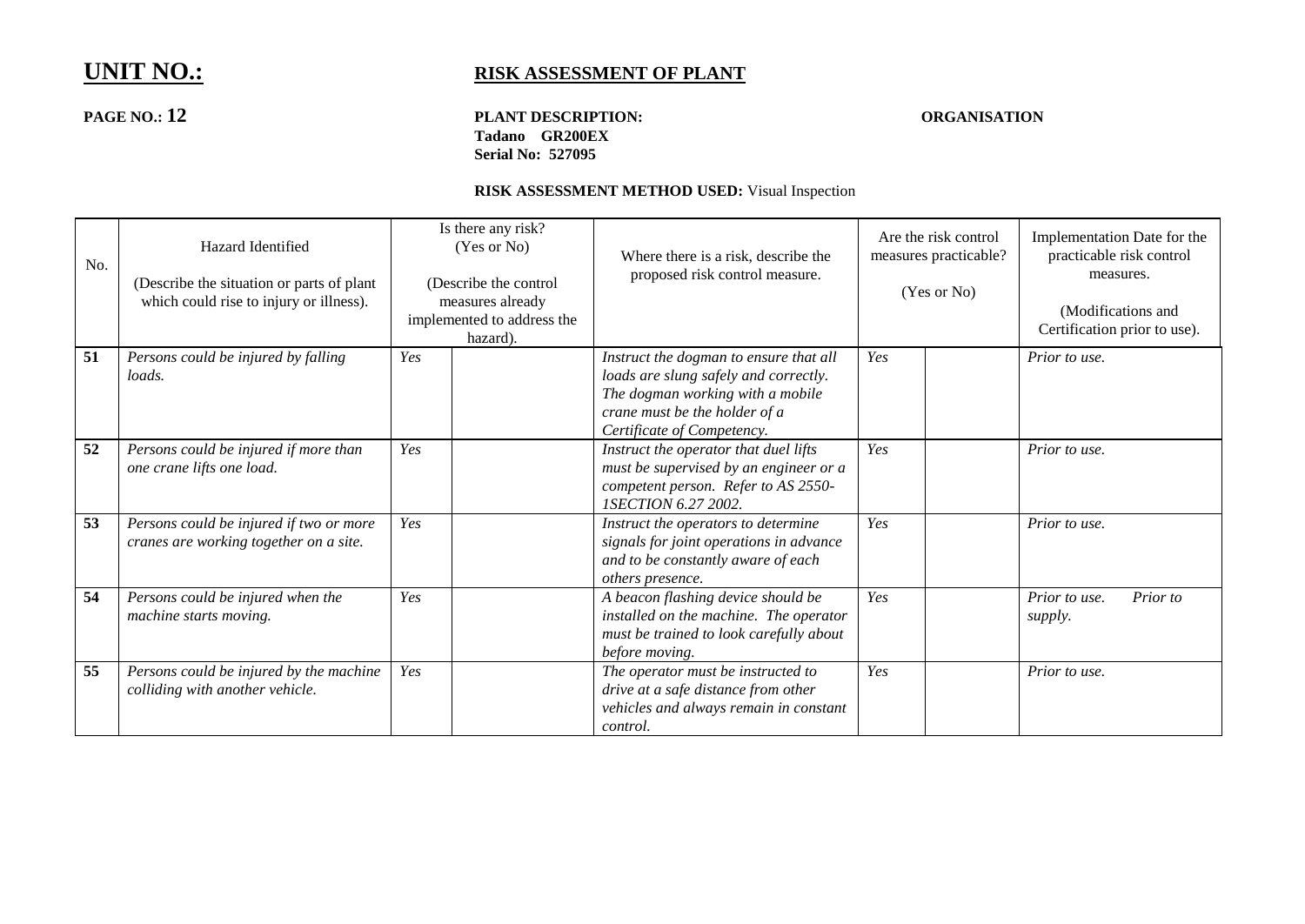## **PAGE NO.: 12 PLANT DESCRIPTION: ORGANISATION Tadano GR200EX Serial No: 527095**

| No. | Hazard Identified<br>(Describe the situation or parts of plant)<br>which could rise to injury or illness). | Is there any risk?<br>(Yes or No)<br>(Describe the control<br>measures already<br>implemented to address the<br>hazard). | Where there is a risk, describe the<br>proposed risk control measure.                                                                                                              | Are the risk control<br>measures practicable?<br>(Yes or No) | Implementation Date for the<br>practicable risk control<br>measures.<br>(Modifications and<br>Certification prior to use). |
|-----|------------------------------------------------------------------------------------------------------------|--------------------------------------------------------------------------------------------------------------------------|------------------------------------------------------------------------------------------------------------------------------------------------------------------------------------|--------------------------------------------------------------|----------------------------------------------------------------------------------------------------------------------------|
| 51  | Persons could be injured by falling<br>loads.                                                              | Yes                                                                                                                      | Instruct the dogman to ensure that all<br>loads are slung safely and correctly.<br>The dogman working with a mobile<br>crane must be the holder of a<br>Certificate of Competency. | Yes                                                          | Prior to use.                                                                                                              |
| 52  | Persons could be injured if more than<br>one crane lifts one load.                                         | Yes                                                                                                                      | Instruct the operator that duel lifts<br>must be supervised by an engineer or a<br>competent person. Refer to AS 2550-<br><i>ISECTION 6.27 2002.</i>                               | Yes                                                          | Prior to use.                                                                                                              |
| 53  | Persons could be injured if two or more<br>cranes are working together on a site.                          | Yes                                                                                                                      | Instruct the operators to determine<br>signals for joint operations in advance<br>and to be constantly aware of each<br>others presence.                                           | Yes                                                          | Prior to use.                                                                                                              |
| 54  | Persons could be injured when the<br>machine starts moving.                                                | Yes                                                                                                                      | A beacon flashing device should be<br>installed on the machine. The operator<br>must be trained to look carefully about<br>before moving.                                          | Yes                                                          | Prior to use.<br>Prior to<br>supply.                                                                                       |
| 55  | Persons could be injured by the machine<br>colliding with another vehicle.                                 | Yes                                                                                                                      | The operator must be instructed to<br>drive at a safe distance from other<br>vehicles and always remain in constant<br>control.                                                    | Yes                                                          | Prior to use.                                                                                                              |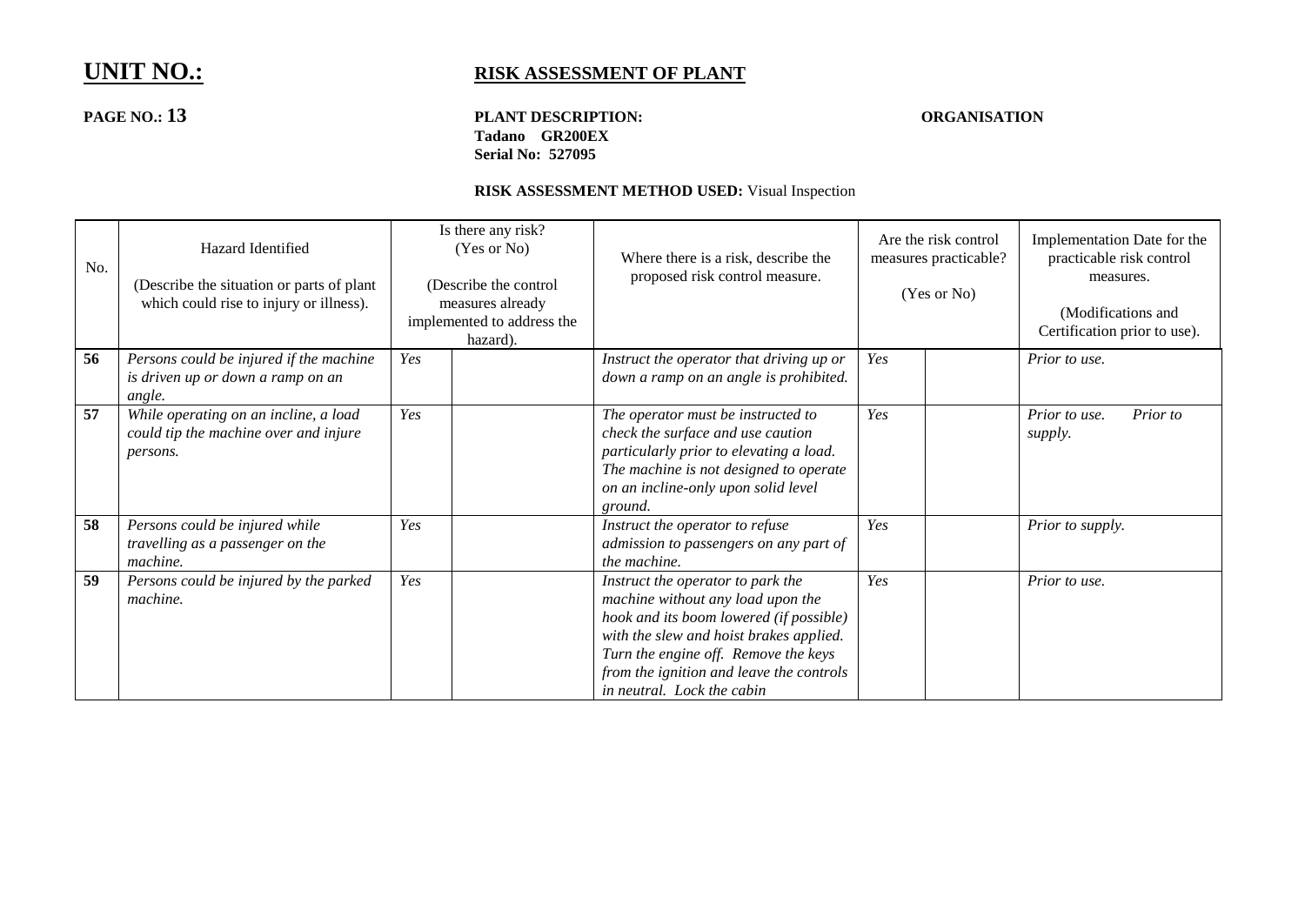## **PAGE NO.: 13 PLANT DESCRIPTION: ORGANISATION Tadano GR200EX Serial No: 527095**

| No. | Hazard Identified<br>(Describe the situation or parts of plant<br>which could rise to injury or illness). |     | Is there any risk?<br>(Yes or No)<br>(Describe the control<br>measures already<br>implemented to address the<br>hazard). | Where there is a risk, describe the<br>proposed risk control measure.                                                                                                                                                                                                          | Are the risk control<br>measures practicable?<br>(Yes or No) |  | Implementation Date for the<br>practicable risk control<br>measures.<br>(Modifications and<br>Certification prior to use). |
|-----|-----------------------------------------------------------------------------------------------------------|-----|--------------------------------------------------------------------------------------------------------------------------|--------------------------------------------------------------------------------------------------------------------------------------------------------------------------------------------------------------------------------------------------------------------------------|--------------------------------------------------------------|--|----------------------------------------------------------------------------------------------------------------------------|
| 56  | Persons could be injured if the machine<br>is driven up or down a ramp on an<br>angle.                    | Yes |                                                                                                                          | Instruct the operator that driving up or<br>down a ramp on an angle is prohibited.                                                                                                                                                                                             | Yes                                                          |  | Prior to use.                                                                                                              |
| 57  | While operating on an incline, a load<br>could tip the machine over and injure<br>persons.                | Yes |                                                                                                                          | The operator must be instructed to<br>check the surface and use caution<br>particularly prior to elevating a load.<br>The machine is not designed to operate<br>on an incline-only upon solid level<br>ground.                                                                 | Yes                                                          |  | Prior to use.<br>Prior to<br>supply.                                                                                       |
| 58  | Persons could be injured while<br>travelling as a passenger on the<br>machine.                            | Yes |                                                                                                                          | Instruct the operator to refuse<br>admission to passengers on any part of<br>the machine.                                                                                                                                                                                      | Yes                                                          |  | Prior to supply.                                                                                                           |
| 59  | Persons could be injured by the parked<br>machine.                                                        | Yes |                                                                                                                          | Instruct the operator to park the<br>machine without any load upon the<br>hook and its boom lowered (if possible)<br>with the slew and hoist brakes applied.<br>Turn the engine off. Remove the keys<br>from the ignition and leave the controls<br>in neutral. Lock the cabin | Yes                                                          |  | Prior to use.                                                                                                              |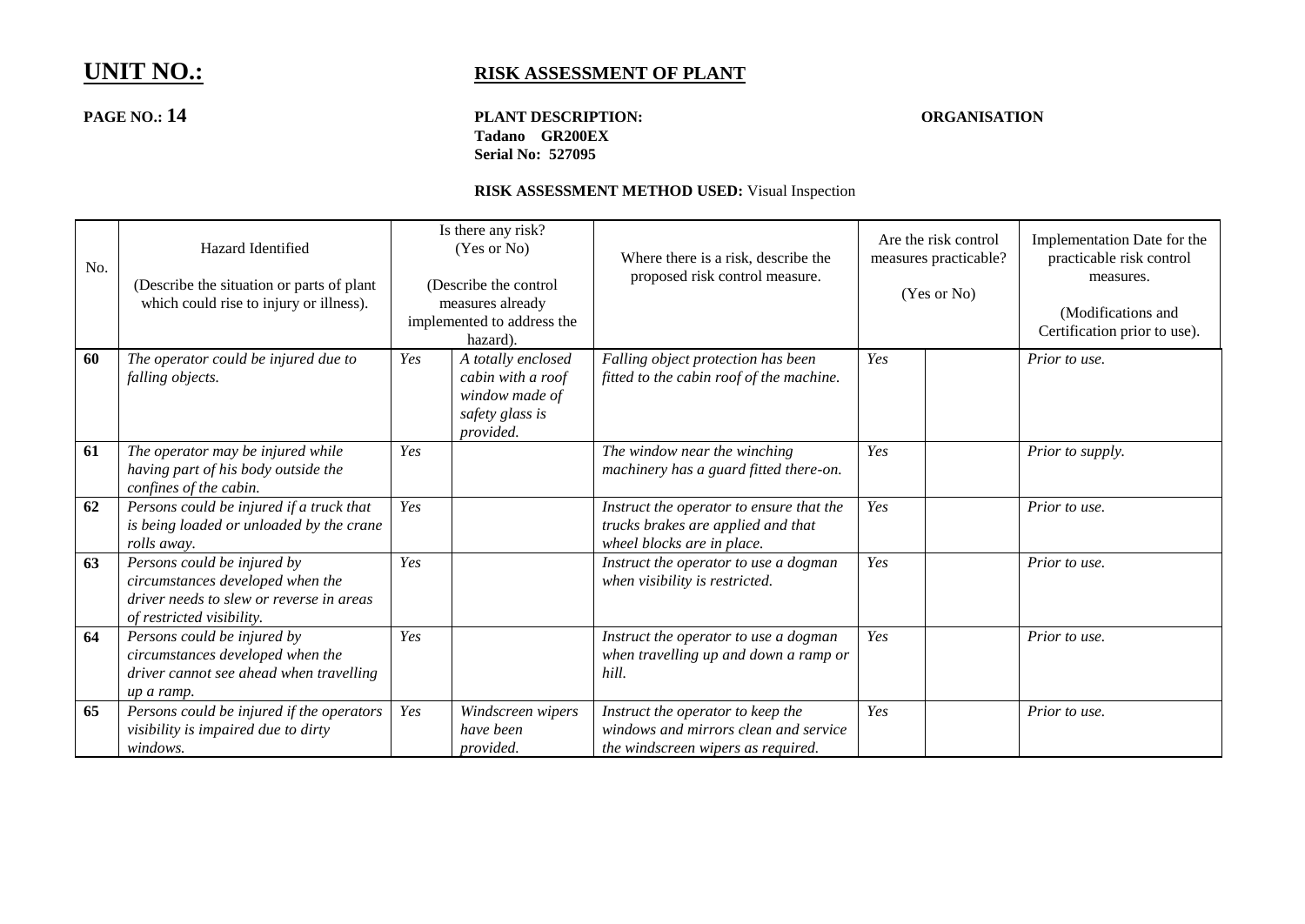## **PAGE NO.: 14 PLANT DESCRIPTION: ORGANISATION Tadano GR200EX Serial No: 527095**

| No. | Hazard Identified<br>(Describe the situation or parts of plant)<br>which could rise to injury or illness).                               |     | Is there any risk?<br>(Yes or No)<br>(Describe the control<br>measures already<br>implemented to address the<br>hazard). | Where there is a risk, describe the<br>proposed risk control measure.                                            | Are the risk control<br>measures practicable?<br>(Yes or No) |  | Implementation Date for the<br>practicable risk control<br>measures.<br>(Modifications and<br>Certification prior to use). |
|-----|------------------------------------------------------------------------------------------------------------------------------------------|-----|--------------------------------------------------------------------------------------------------------------------------|------------------------------------------------------------------------------------------------------------------|--------------------------------------------------------------|--|----------------------------------------------------------------------------------------------------------------------------|
| 60  | The operator could be injured due to<br>falling objects.                                                                                 | Yes | A totally enclosed<br>cabin with a roof<br>window made of<br>safety glass is<br>provided.                                | Falling object protection has been<br>fitted to the cabin roof of the machine.                                   | Yes                                                          |  | Prior to use.                                                                                                              |
| 61  | The operator may be injured while<br>having part of his body outside the<br>confines of the cabin.                                       | Yes |                                                                                                                          | The window near the winching<br>machinery has a guard fitted there-on.                                           | Yes                                                          |  | Prior to supply.                                                                                                           |
| 62  | Persons could be injured if a truck that<br>is being loaded or unloaded by the crane<br>rolls away.                                      | Yes |                                                                                                                          | Instruct the operator to ensure that the<br>trucks brakes are applied and that<br>wheel blocks are in place.     | Yes                                                          |  | Prior to use.                                                                                                              |
| 63  | Persons could be injured by<br>circumstances developed when the<br>driver needs to slew or reverse in areas<br>of restricted visibility. | Yes |                                                                                                                          | Instruct the operator to use a dogman<br>when visibility is restricted.                                          | Yes                                                          |  | Prior to use.                                                                                                              |
| 64  | Persons could be injured by<br>circumstances developed when the<br>driver cannot see ahead when travelling<br>up a ramp.                 | Yes |                                                                                                                          | Instruct the operator to use a dogman<br>when travelling up and down a ramp or<br>hill.                          | Yes                                                          |  | Prior to use.                                                                                                              |
| 65  | Persons could be injured if the operators<br>visibility is impaired due to dirty<br>windows.                                             | Yes | Windscreen wipers<br>have been<br>provided.                                                                              | Instruct the operator to keep the<br>windows and mirrors clean and service<br>the windscreen wipers as required. | Yes                                                          |  | Prior to use.                                                                                                              |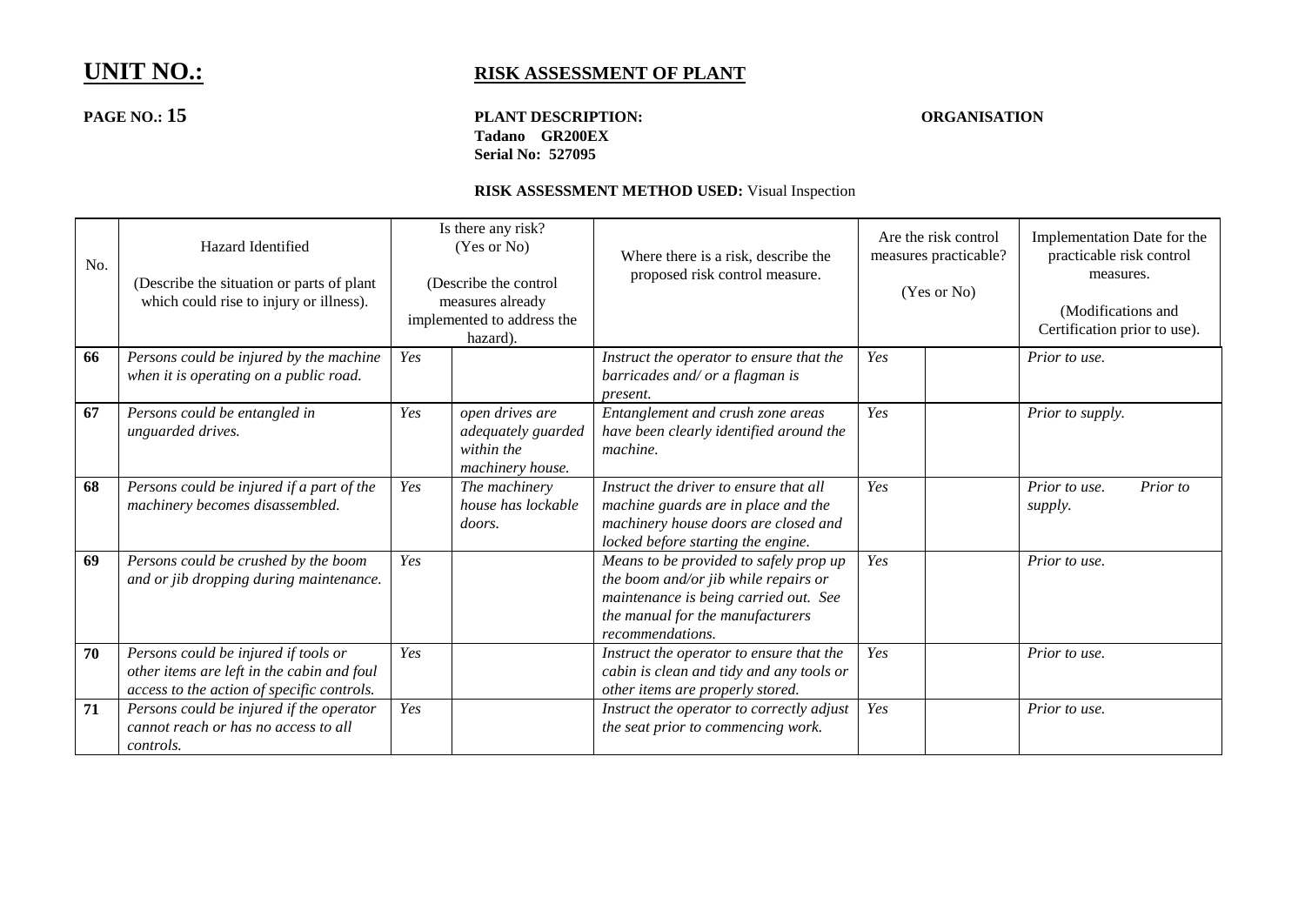## **PAGE NO.: 15 PLANT DESCRIPTION: ORGANISATION Tadano GR200EX Serial No: 527095**

| No. | Hazard Identified<br>(Describe the situation or parts of plant)<br>which could rise to injury or illness).                       |     | Is there any risk?<br>(Yes or No)<br>(Describe the control<br>measures already<br>implemented to address the<br>hazard). | Where there is a risk, describe the<br>proposed risk control measure.                                                                                                           | Are the risk control<br>measures practicable?<br>(Yes or No) |  | Implementation Date for the<br>practicable risk control<br>measures.<br>(Modifications and<br>Certification prior to use). |
|-----|----------------------------------------------------------------------------------------------------------------------------------|-----|--------------------------------------------------------------------------------------------------------------------------|---------------------------------------------------------------------------------------------------------------------------------------------------------------------------------|--------------------------------------------------------------|--|----------------------------------------------------------------------------------------------------------------------------|
| 66  | Persons could be injured by the machine<br>when it is operating on a public road.                                                | Yes |                                                                                                                          | Instruct the operator to ensure that the<br>barricades and/ or a flagman is<br>present.                                                                                         | Yes                                                          |  | Prior to use.                                                                                                              |
| 67  | Persons could be entangled in<br>unguarded drives.                                                                               | Yes | open drives are<br>adequately guarded<br>within the<br>machinery house.                                                  | Entanglement and crush zone areas<br>have been clearly identified around the<br>machine.                                                                                        | Yes                                                          |  | Prior to supply.                                                                                                           |
| 68  | Persons could be injured if a part of the<br>machinery becomes disassembled.                                                     | Yes | The machinery<br>house has lockable<br>doors.                                                                            | Instruct the driver to ensure that all<br>machine guards are in place and the<br>machinery house doors are closed and<br>locked before starting the engine.                     | Yes                                                          |  | Prior to use.<br>Prior to<br>supply.                                                                                       |
| 69  | Persons could be crushed by the boom<br>and or jib dropping during maintenance.                                                  | Yes |                                                                                                                          | Means to be provided to safely prop up<br>the boom and/or jib while repairs or<br>maintenance is being carried out. See<br>the manual for the manufacturers<br>recommendations. | Yes                                                          |  | Prior to use.                                                                                                              |
| 70  | Persons could be injured if tools or<br>other items are left in the cabin and foul<br>access to the action of specific controls. | Yes |                                                                                                                          | Instruct the operator to ensure that the<br>cabin is clean and tidy and any tools or<br>other items are properly stored.                                                        | Yes                                                          |  | Prior to use.                                                                                                              |
| 71  | Persons could be injured if the operator<br>cannot reach or has no access to all<br>controls.                                    | Yes |                                                                                                                          | Instruct the operator to correctly adjust<br>the seat prior to commencing work.                                                                                                 | Yes                                                          |  | Prior to use.                                                                                                              |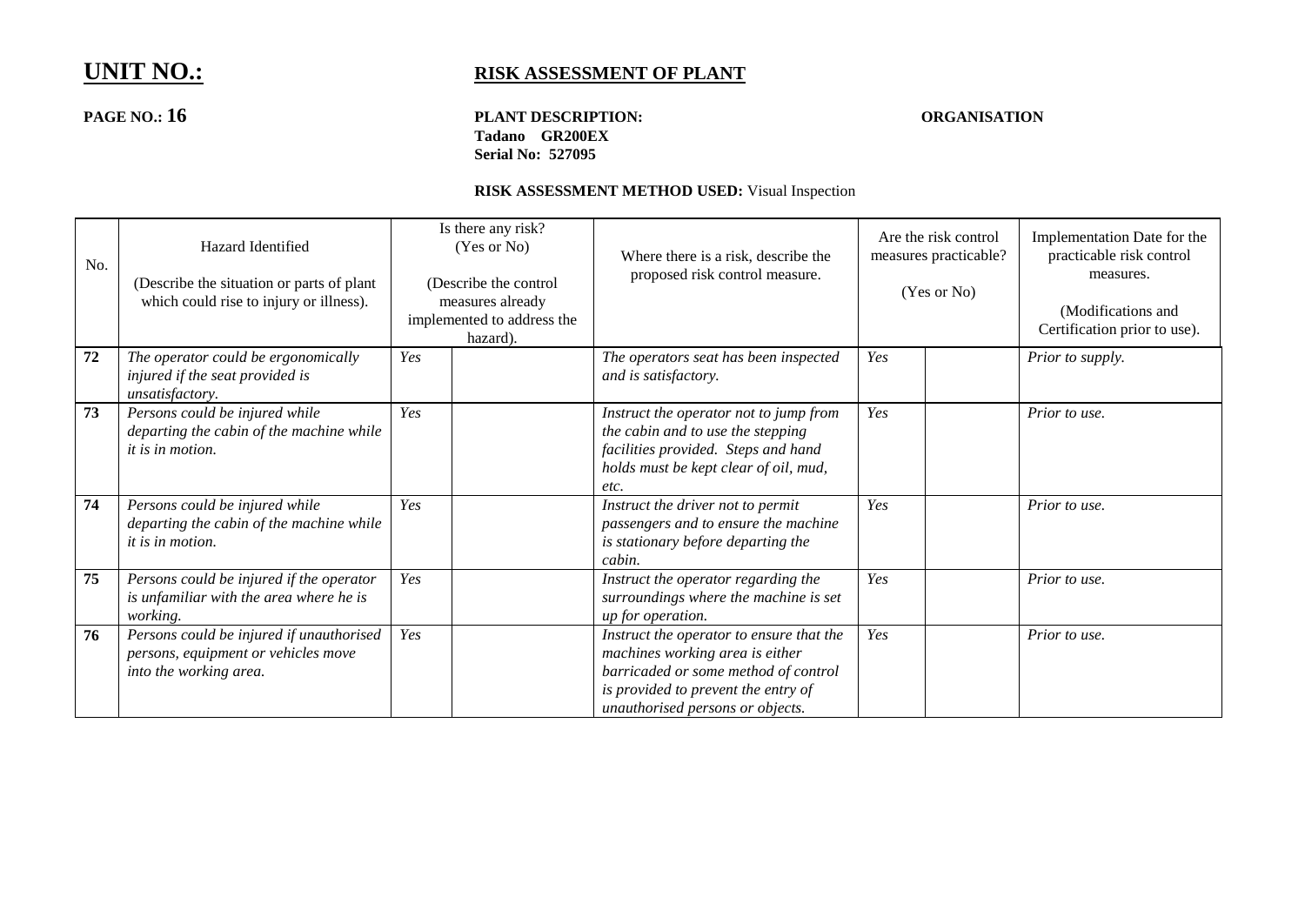## **PAGE NO.: 16 PLANT DESCRIPTION: ORGANISATION Tadano GR200EX Serial No: 527095**

| No. | Hazard Identified<br>(Describe the situation or parts of plant)<br>which could rise to injury or illness). |     | Is there any risk?<br>(Yes or No)<br>(Describe the control<br>measures already<br>implemented to address the<br>hazard). | Where there is a risk, describe the<br>proposed risk control measure.                                                                                                                          | Are the risk control<br>measures practicable?<br>(Yes or No) |  | Implementation Date for the<br>practicable risk control<br>measures.<br>(Modifications and<br>Certification prior to use). |
|-----|------------------------------------------------------------------------------------------------------------|-----|--------------------------------------------------------------------------------------------------------------------------|------------------------------------------------------------------------------------------------------------------------------------------------------------------------------------------------|--------------------------------------------------------------|--|----------------------------------------------------------------------------------------------------------------------------|
| 72  | The operator could be ergonomically<br>injured if the seat provided is<br>unsatisfactory.                  | Yes |                                                                                                                          | The operators seat has been inspected<br>and is satisfactory.                                                                                                                                  | Yes                                                          |  | Prior to supply.                                                                                                           |
| 73  | Persons could be injured while<br>departing the cabin of the machine while<br><i>it is in motion.</i>      | Yes |                                                                                                                          | Instruct the operator not to jump from<br>the cabin and to use the stepping<br>facilities provided. Steps and hand<br>holds must be kept clear of oil, mud,<br>etc.                            | Yes                                                          |  | Prior to use.                                                                                                              |
| 74  | Persons could be injured while<br>departing the cabin of the machine while<br><i>it is in motion.</i>      | Yes |                                                                                                                          | Instruct the driver not to permit<br>passengers and to ensure the machine<br>is stationary before departing the<br>cabin.                                                                      | Yes                                                          |  | Prior to use.                                                                                                              |
| 75  | Persons could be injured if the operator<br>is unfamiliar with the area where he is<br>working.            | Yes |                                                                                                                          | Instruct the operator regarding the<br>surroundings where the machine is set<br>up for operation.                                                                                              | Yes                                                          |  | Prior to use.                                                                                                              |
| 76  | Persons could be injured if unauthorised<br>persons, equipment or vehicles move<br>into the working area.  | Yes |                                                                                                                          | Instruct the operator to ensure that the<br>machines working area is either<br>barricaded or some method of control<br>is provided to prevent the entry of<br>unauthorised persons or objects. | Yes                                                          |  | Prior to use.                                                                                                              |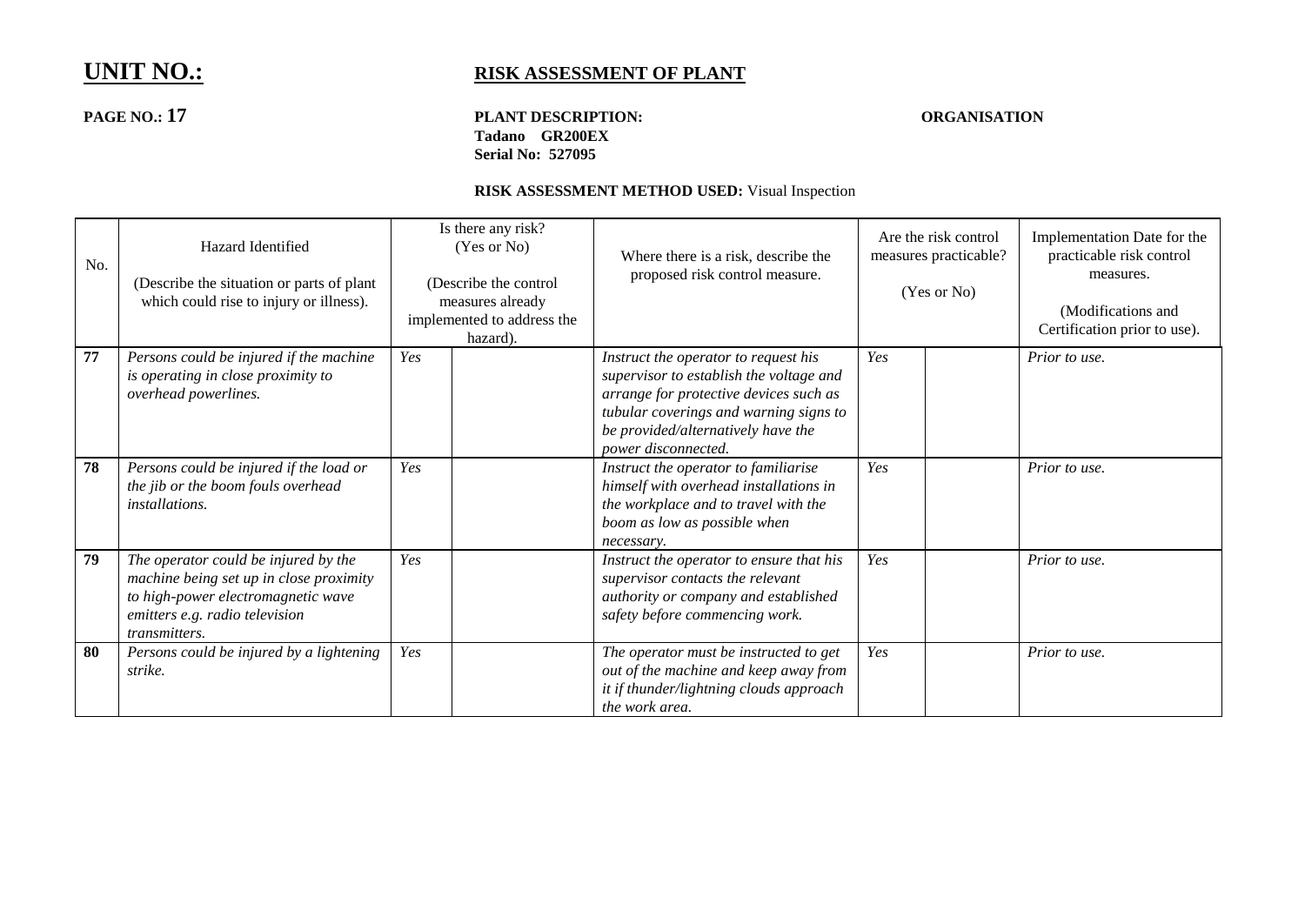## **PAGE NO.: 17 PLANT DESCRIPTION: ORGANISATION Tadano GR200EX Serial No: 527095**

| No. | Hazard Identified<br>(Describe the situation or parts of plant<br>which could rise to injury or illness).                                                                |     | Is there any risk?<br>(Yes or No)<br>(Describe the control<br>measures already<br>implemented to address the<br>hazard). | Where there is a risk, describe the<br>proposed risk control measure.                                                                                                                                                            | Are the risk control<br>measures practicable?<br>(Yes or No) |  | Implementation Date for the<br>practicable risk control<br>measures.<br>(Modifications and<br>Certification prior to use). |
|-----|--------------------------------------------------------------------------------------------------------------------------------------------------------------------------|-----|--------------------------------------------------------------------------------------------------------------------------|----------------------------------------------------------------------------------------------------------------------------------------------------------------------------------------------------------------------------------|--------------------------------------------------------------|--|----------------------------------------------------------------------------------------------------------------------------|
| 77  | Persons could be injured if the machine<br>is operating in close proximity to<br>overhead powerlines.                                                                    | Yes |                                                                                                                          | Instruct the operator to request his<br>supervisor to establish the voltage and<br>arrange for protective devices such as<br>tubular coverings and warning signs to<br>be provided/alternatively have the<br>power disconnected. | Yes                                                          |  | Prior to use.                                                                                                              |
| 78  | Persons could be injured if the load or<br>the jib or the boom fouls overhead<br>installations.                                                                          | Yes |                                                                                                                          | Instruct the operator to familiarise<br>himself with overhead installations in<br>the workplace and to travel with the<br>boom as low as possible when<br>necessary.                                                             | Yes                                                          |  | Prior to use.                                                                                                              |
| 79  | The operator could be injured by the<br>machine being set up in close proximity<br>to high-power electromagnetic wave<br>emitters e.g. radio television<br>transmitters. | Yes |                                                                                                                          | Instruct the operator to ensure that his<br>supervisor contacts the relevant<br>authority or company and established<br>safety before commencing work.                                                                           | Yes                                                          |  | Prior to use.                                                                                                              |
| 80  | Persons could be injured by a lightening<br>strike.                                                                                                                      | Yes |                                                                                                                          | The operator must be instructed to get<br>out of the machine and keep away from<br>it if thunder/lightning clouds approach<br>the work area.                                                                                     | Yes                                                          |  | Prior to use.                                                                                                              |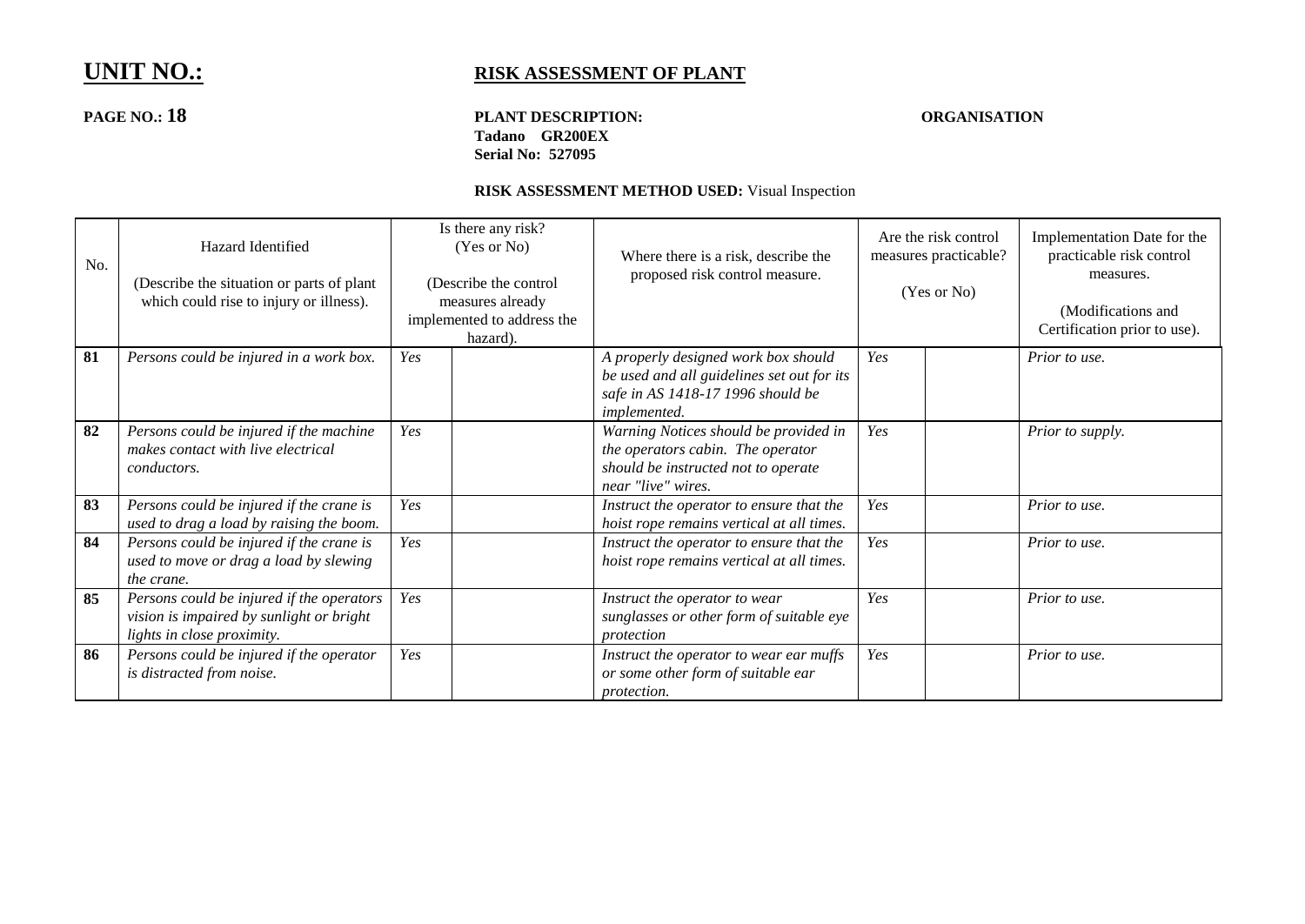## **PAGE NO.: 18 PLANT DESCRIPTION: ORGANISATION Tadano GR200EX Serial No: 527095**

| No. | Hazard Identified<br>(Describe the situation or parts of plant<br>which could rise to injury or illness).           | Is there any risk?<br>(Yes or No)<br>(Describe the control<br>measures already<br>implemented to address the<br>hazard). | Where there is a risk, describe the<br>proposed risk control measure.                                                                   | Are the risk control<br>measures practicable?<br>(Yes or No) | Implementation Date for the<br>practicable risk control<br>measures.<br>(Modifications and<br>Certification prior to use). |
|-----|---------------------------------------------------------------------------------------------------------------------|--------------------------------------------------------------------------------------------------------------------------|-----------------------------------------------------------------------------------------------------------------------------------------|--------------------------------------------------------------|----------------------------------------------------------------------------------------------------------------------------|
| 81  | Persons could be injured in a work box.                                                                             | Yes                                                                                                                      | A properly designed work box should<br>be used and all guidelines set out for its<br>safe in AS 1418-17 1996 should be<br>implemented.  | Yes                                                          | Prior to use.                                                                                                              |
| 82  | Persons could be injured if the machine<br>makes contact with live electrical<br><i>conductors.</i>                 | Yes                                                                                                                      | Warning Notices should be provided in<br>the operators cabin. The operator<br>should be instructed not to operate<br>near "live" wires. | Yes                                                          | Prior to supply.                                                                                                           |
| 83  | Persons could be injured if the crane is<br>used to drag a load by raising the boom.                                | Yes                                                                                                                      | Instruct the operator to ensure that the<br>hoist rope remains vertical at all times.                                                   | Yes                                                          | Prior to use.                                                                                                              |
| 84  | Persons could be injured if the crane is<br>used to move or drag a load by slewing<br>the crane.                    | Yes                                                                                                                      | Instruct the operator to ensure that the<br>hoist rope remains vertical at all times.                                                   | Yes                                                          | Prior to use.                                                                                                              |
| 85  | Persons could be injured if the operators<br>vision is impaired by sunlight or bright<br>lights in close proximity. | Yes                                                                                                                      | Instruct the operator to wear<br>sunglasses or other form of suitable eye<br>protection                                                 | Yes                                                          | Prior to use.                                                                                                              |
| 86  | Persons could be injured if the operator<br>is distracted from noise.                                               | Yes                                                                                                                      | Instruct the operator to wear ear muffs<br>or some other form of suitable ear<br>protection.                                            | Yes                                                          | Prior to use.                                                                                                              |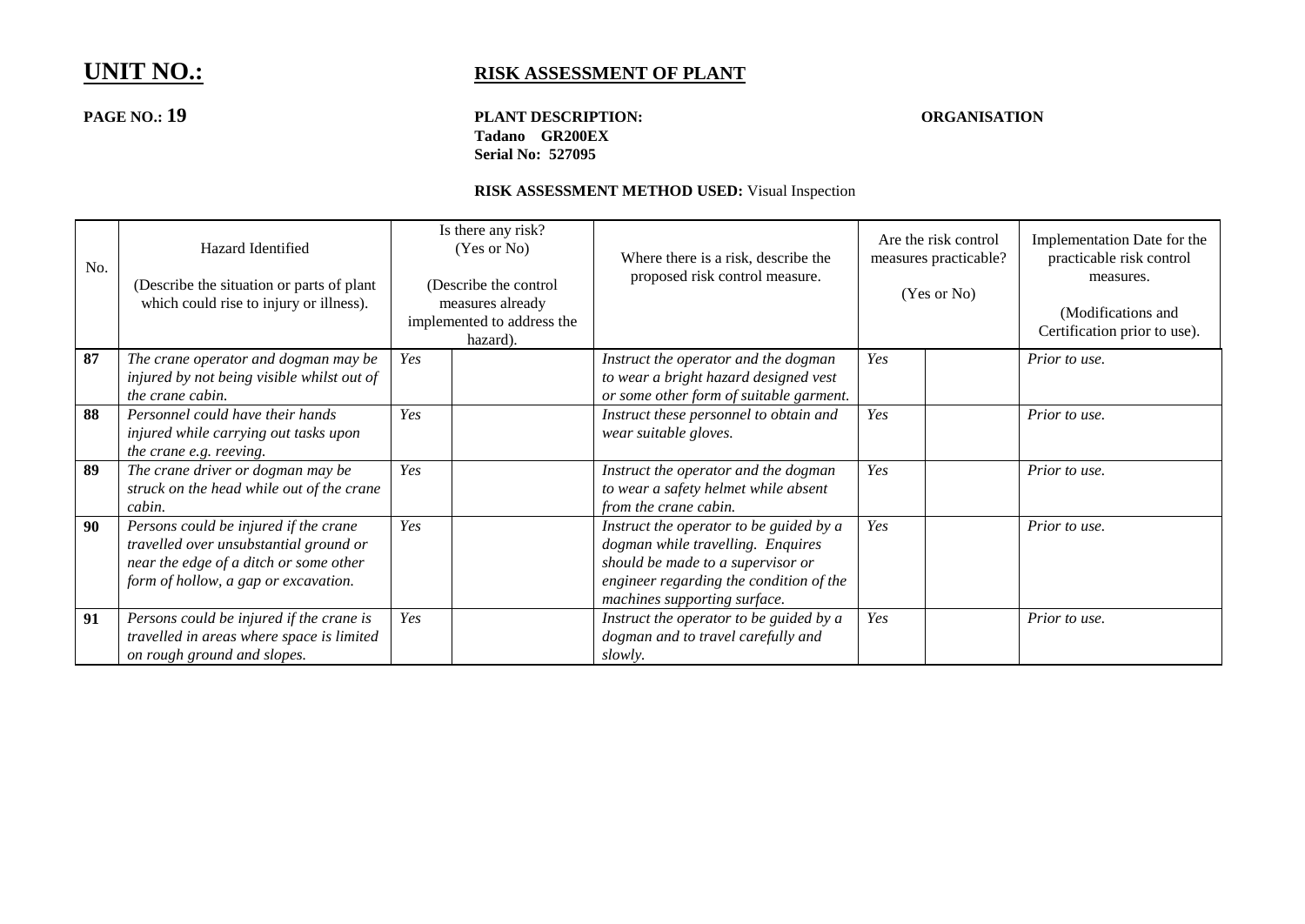## **PAGE NO.: 19 PLANT DESCRIPTION: ORGANISATION Tadano GR200EX Serial No: 527095**

| No. | Hazard Identified<br>(Describe the situation or parts of plant)<br>which could rise to injury or illness).                                                        |     | Is there any risk?<br>(Yes or No)<br>(Describe the control<br>measures already<br>implemented to address the<br>hazard). | Where there is a risk, describe the<br>proposed risk control measure.                                                                                                                        | Are the risk control<br>measures practicable?<br>(Yes or No) |  | Implementation Date for the<br>practicable risk control<br>measures.<br>(Modifications and<br>Certification prior to use). |
|-----|-------------------------------------------------------------------------------------------------------------------------------------------------------------------|-----|--------------------------------------------------------------------------------------------------------------------------|----------------------------------------------------------------------------------------------------------------------------------------------------------------------------------------------|--------------------------------------------------------------|--|----------------------------------------------------------------------------------------------------------------------------|
| 87  | The crane operator and dogman may be<br>injured by not being visible whilst out of<br>the crane cabin.                                                            | Yes |                                                                                                                          | Instruct the operator and the dogman<br>to wear a bright hazard designed vest<br>or some other form of suitable garment.                                                                     | Yes                                                          |  | Prior to use.                                                                                                              |
| 88  | Personnel could have their hands<br>injured while carrying out tasks upon<br>the crane e.g. reeving.                                                              | Yes |                                                                                                                          | Instruct these personnel to obtain and<br>wear suitable gloves.                                                                                                                              | Yes                                                          |  | Prior to use.                                                                                                              |
| 89  | The crane driver or dogman may be<br>struck on the head while out of the crane<br>cabin.                                                                          | Yes |                                                                                                                          | Instruct the operator and the dogman<br>to wear a safety helmet while absent<br>from the crane cabin.                                                                                        | Yes                                                          |  | Prior to use.                                                                                                              |
| 90  | Persons could be injured if the crane<br>travelled over unsubstantial ground or<br>near the edge of a ditch or some other<br>form of hollow, a gap or excavation. | Yes |                                                                                                                          | Instruct the operator to be guided by a<br>dogman while travelling. Enquires<br>should be made to a supervisor or<br>engineer regarding the condition of the<br>machines supporting surface. | Yes                                                          |  | Prior to use.                                                                                                              |
| 91  | Persons could be injured if the crane is<br>travelled in areas where space is limited<br>on rough ground and slopes.                                              | Yes |                                                                                                                          | Instruct the operator to be guided by a<br>dogman and to travel carefully and<br>slowly.                                                                                                     | Yes                                                          |  | Prior to use.                                                                                                              |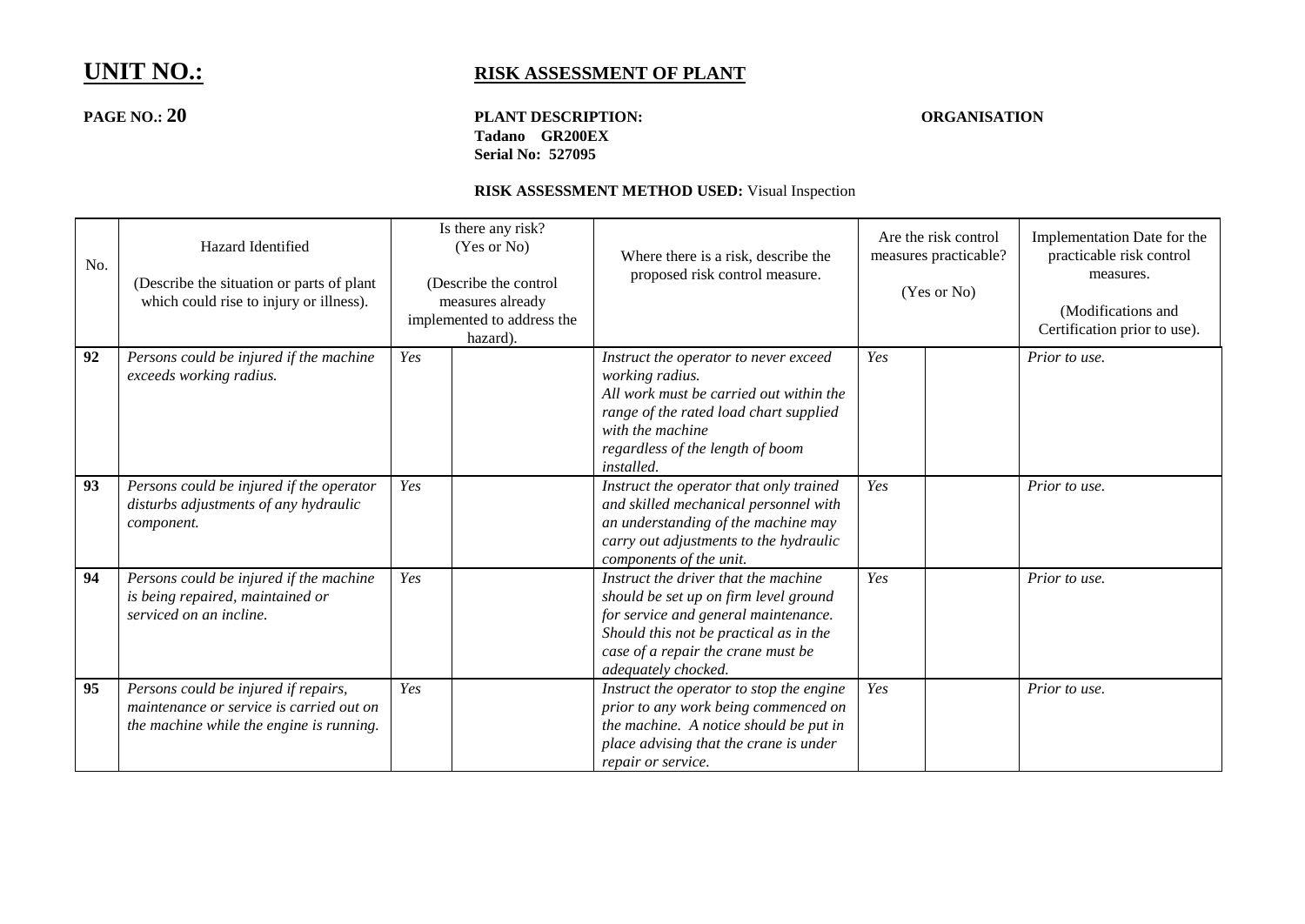## **PAGE NO.: 20 PLANT DESCRIPTION: ORGANISATION Tadano GR200EX Serial No: 527095**

| No. | Hazard Identified<br>(Describe the situation or parts of plant<br>which could rise to injury or illness).                    | Is there any risk?<br>(Yes or No)<br>(Describe the control<br>measures already<br>implemented to address the<br>hazard). | Where there is a risk, describe the<br>proposed risk control measure.                                                                                                                                                        | Are the risk control<br>measures practicable?<br>(Yes or No) | Implementation Date for the<br>practicable risk control<br>measures.<br>(Modifications and<br>Certification prior to use). |
|-----|------------------------------------------------------------------------------------------------------------------------------|--------------------------------------------------------------------------------------------------------------------------|------------------------------------------------------------------------------------------------------------------------------------------------------------------------------------------------------------------------------|--------------------------------------------------------------|----------------------------------------------------------------------------------------------------------------------------|
| 92  | Persons could be injured if the machine<br>exceeds working radius.                                                           | Yes                                                                                                                      | Instruct the operator to never exceed<br>working radius.<br>All work must be carried out within the<br>range of the rated load chart supplied<br>with the machine<br>regardless of the length of boom<br>installed.          | Yes                                                          | Prior to use.                                                                                                              |
| 93  | Persons could be injured if the operator<br>disturbs adjustments of any hydraulic<br>component.                              | Yes                                                                                                                      | Instruct the operator that only trained<br>and skilled mechanical personnel with<br>an understanding of the machine may<br>carry out adjustments to the hydraulic<br>components of the unit.                                 | Yes                                                          | Prior to use.                                                                                                              |
| 94  | Persons could be injured if the machine<br>is being repaired, maintained or<br>serviced on an incline.                       | Yes                                                                                                                      | Instruct the driver that the machine<br>should be set up on firm level ground<br>for service and general maintenance.<br>Should this not be practical as in the<br>case of a repair the crane must be<br>adequately chocked. | Yes                                                          | Prior to use.                                                                                                              |
| 95  | Persons could be injured if repairs,<br>maintenance or service is carried out on<br>the machine while the engine is running. | Yes                                                                                                                      | Instruct the operator to stop the engine<br>prior to any work being commenced on<br>the machine. A notice should be put in<br>place advising that the crane is under<br>repair or service.                                   | Yes                                                          | Prior to use.                                                                                                              |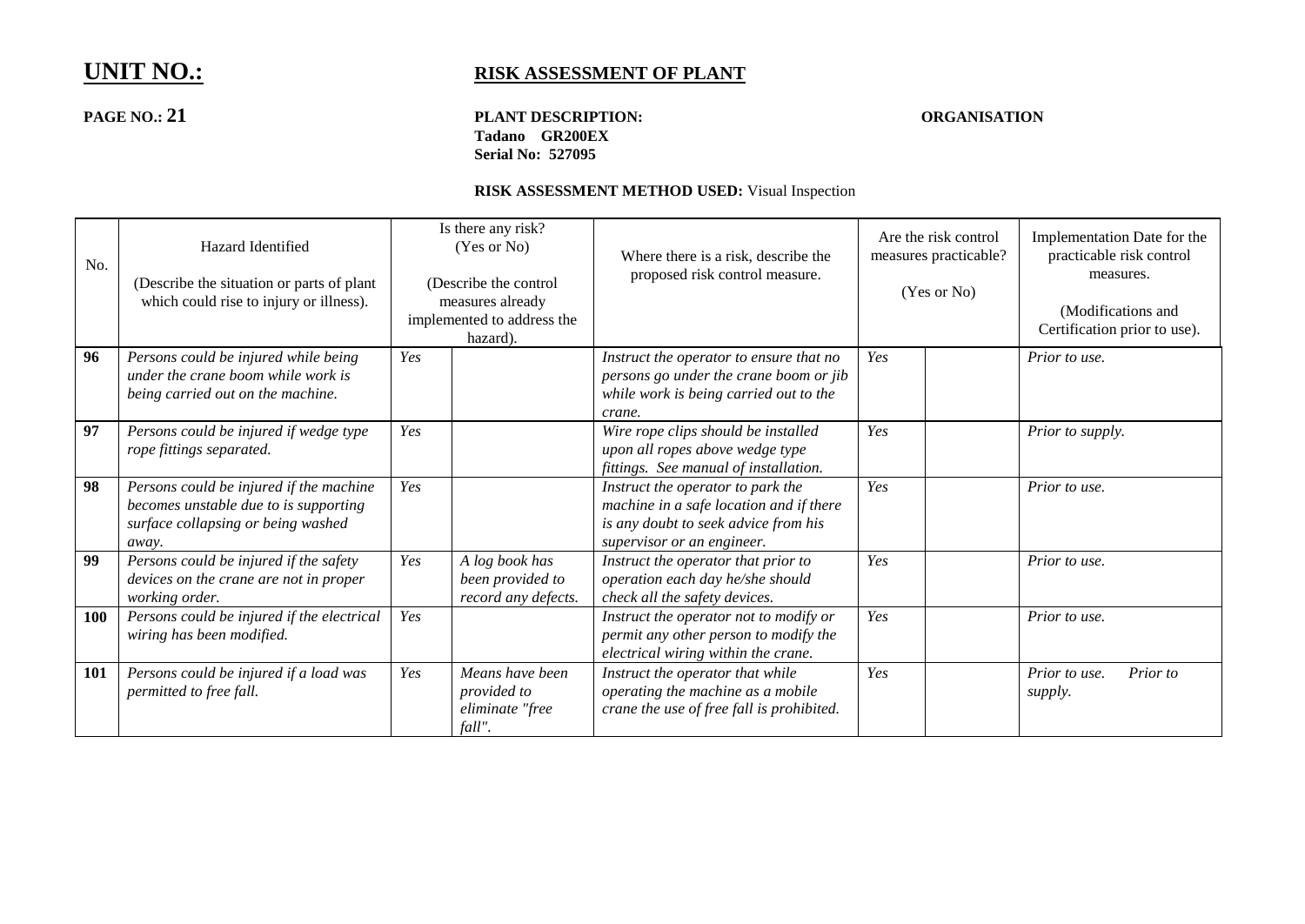## **PAGE NO.: 21 PLANT DESCRIPTION: ORGANISATION Tadano GR200EX Serial No: 527095**

| No.        | Hazard Identified<br>(Describe the situation or parts of plant)<br>which could rise to injury or illness).                      |     | Is there any risk?<br>(Yes or No)<br>(Describe the control)<br>measures already<br>implemented to address the<br>hazard). | Where there is a risk, describe the<br>proposed risk control measure.                                                                              | Are the risk control<br>measures practicable?<br>(Yes or No) | Implementation Date for the<br>practicable risk control<br>measures.<br>(Modifications and<br>Certification prior to use). |
|------------|---------------------------------------------------------------------------------------------------------------------------------|-----|---------------------------------------------------------------------------------------------------------------------------|----------------------------------------------------------------------------------------------------------------------------------------------------|--------------------------------------------------------------|----------------------------------------------------------------------------------------------------------------------------|
| 96         | Persons could be injured while being<br>under the crane boom while work is<br>being carried out on the machine.                 | Yes |                                                                                                                           | Instruct the operator to ensure that no<br>persons go under the crane boom or jib<br>while work is being carried out to the<br>crane.              | Yes                                                          | Prior to use.                                                                                                              |
| 97         | Persons could be injured if wedge type<br>rope fittings separated.                                                              | Yes |                                                                                                                           | Wire rope clips should be installed<br>upon all ropes above wedge type<br>fittings. See manual of installation.                                    | Yes                                                          | Prior to supply.                                                                                                           |
| 98         | Persons could be injured if the machine<br>becomes unstable due to is supporting<br>surface collapsing or being washed<br>away. | Yes |                                                                                                                           | Instruct the operator to park the<br>machine in a safe location and if there<br>is any doubt to seek advice from his<br>supervisor or an engineer. | Yes                                                          | Prior to use.                                                                                                              |
| 99         | Persons could be injured if the safety<br>devices on the crane are not in proper<br>working order.                              | Yes | A log book has<br>been provided to<br>record any defects.                                                                 | Instruct the operator that prior to<br>operation each day he/she should<br>check all the safety devices.                                           | Yes                                                          | Prior to use.                                                                                                              |
| <b>100</b> | Persons could be injured if the electrical<br>wiring has been modified.                                                         | Yes |                                                                                                                           | Instruct the operator not to modify or<br>permit any other person to modify the<br>electrical wiring within the crane.                             | Yes                                                          | Prior to use.                                                                                                              |
| <b>101</b> | Persons could be injured if a load was<br>permitted to free fall.                                                               | Yes | Means have been<br>provided to<br>eliminate "free<br>fall".                                                               | Instruct the operator that while<br>operating the machine as a mobile<br>crane the use of free fall is prohibited.                                 | Yes                                                          | Prior to use.<br>Prior to<br>supply.                                                                                       |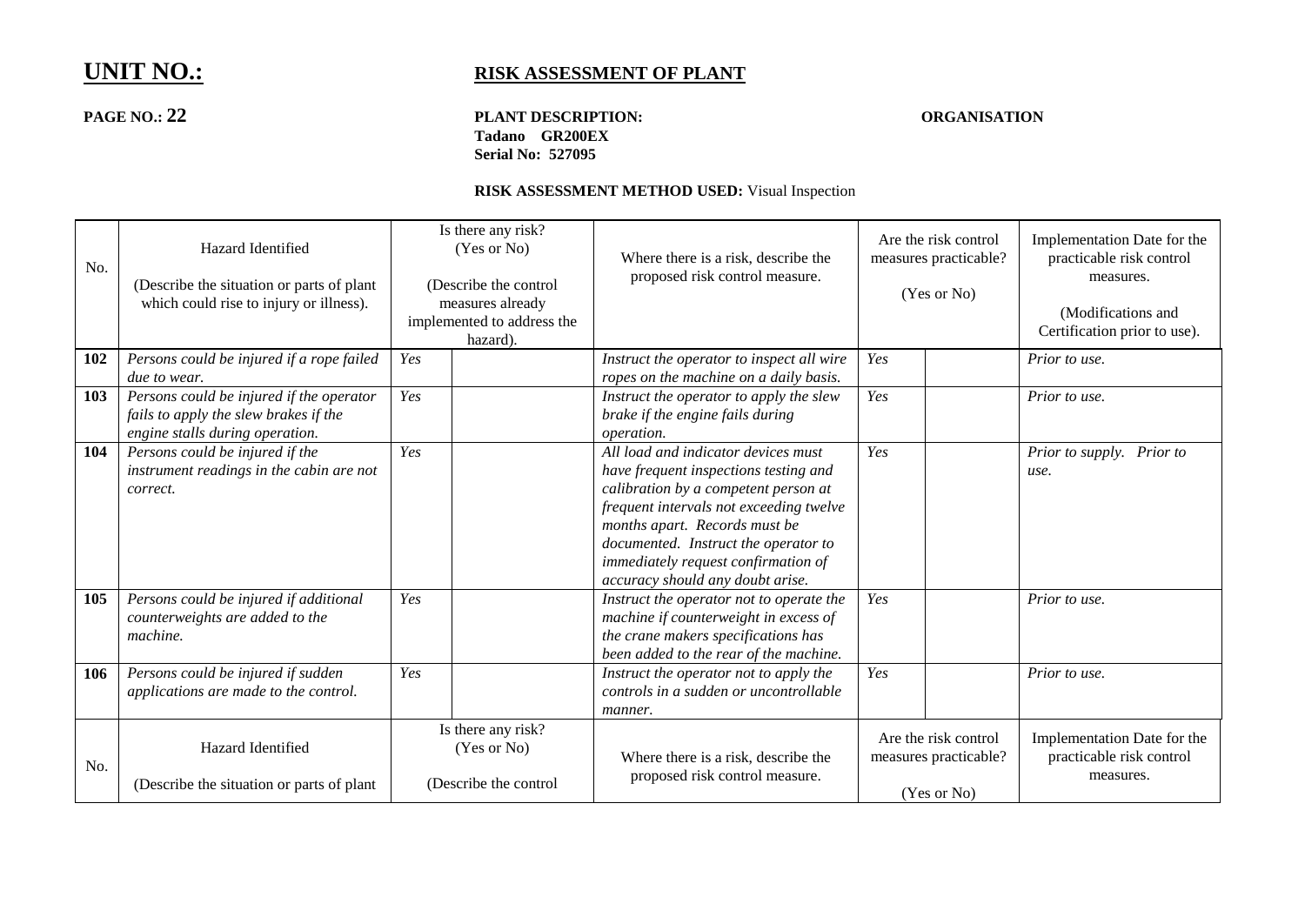## **PAGE NO.: 22 PLANT DESCRIPTION: ORGANISATION Tadano GR200EX Serial No: 527095**

| No. | Hazard Identified<br>(Describe the situation or parts of plant)<br>which could rise to injury or illness).           | Is there any risk?<br>(Yes or No)<br>(Describe the control<br>measures already<br>implemented to address the<br>hazard). |                                                            | Where there is a risk, describe the<br>proposed risk control measure.                                                                                                                                                                                                                                               |     | Are the risk control<br>measures practicable?<br>(Yes or No) | Implementation Date for the<br>practicable risk control<br>measures.<br>(Modifications and<br>Certification prior to use). |
|-----|----------------------------------------------------------------------------------------------------------------------|--------------------------------------------------------------------------------------------------------------------------|------------------------------------------------------------|---------------------------------------------------------------------------------------------------------------------------------------------------------------------------------------------------------------------------------------------------------------------------------------------------------------------|-----|--------------------------------------------------------------|----------------------------------------------------------------------------------------------------------------------------|
| 102 | Persons could be injured if a rope failed<br><i>due to wear.</i>                                                     | Yes                                                                                                                      |                                                            | Instruct the operator to inspect all wire<br>ropes on the machine on a daily basis.                                                                                                                                                                                                                                 | Yes |                                                              | Prior to use.                                                                                                              |
| 103 | Persons could be injured if the operator<br>fails to apply the slew brakes if the<br>engine stalls during operation. | Yes                                                                                                                      |                                                            | Instruct the operator to apply the slew<br>brake if the engine fails during<br>operation.                                                                                                                                                                                                                           | Yes |                                                              | Prior to use.                                                                                                              |
| 104 | Persons could be injured if the<br>instrument readings in the cabin are not<br>correct.                              | Yes                                                                                                                      |                                                            | All load and indicator devices must<br>have frequent inspections testing and<br>calibration by a competent person at<br>frequent intervals not exceeding twelve<br>months apart. Records must be<br>documented. Instruct the operator to<br>immediately request confirmation of<br>accuracy should any doubt arise. | Yes |                                                              | Prior to supply. Prior to<br>use.                                                                                          |
| 105 | Persons could be injured if additional<br>counterweights are added to the<br>machine.                                | Yes                                                                                                                      |                                                            | Instruct the operator not to operate the<br>machine if counterweight in excess of<br>the crane makers specifications has<br>been added to the rear of the machine.                                                                                                                                                  | Yes |                                                              | Prior to use.                                                                                                              |
| 106 | Persons could be injured if sudden<br>applications are made to the control.                                          | Yes                                                                                                                      |                                                            | Instruct the operator not to apply the<br>controls in a sudden or uncontrollable<br>manner.                                                                                                                                                                                                                         | Yes |                                                              | Prior to use.                                                                                                              |
| No. | <b>Hazard Identified</b><br>(Describe the situation or parts of plant                                                |                                                                                                                          | Is there any risk?<br>(Yes or No)<br>(Describe the control | Where there is a risk, describe the<br>proposed risk control measure.                                                                                                                                                                                                                                               |     | Are the risk control<br>measures practicable?<br>(Yes or No) | Implementation Date for the<br>practicable risk control<br>measures.                                                       |